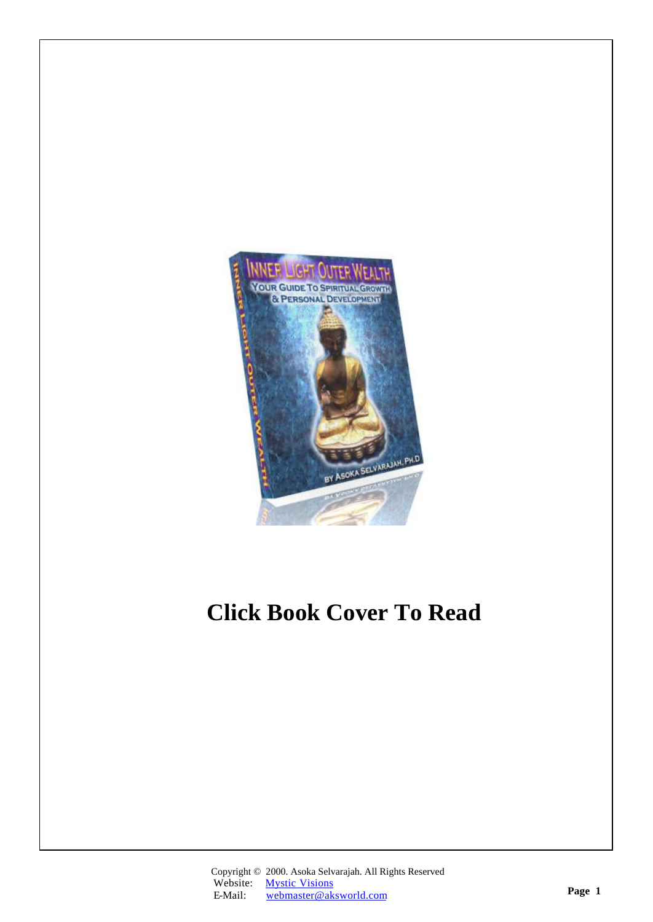

# **Click Book Cover To Read**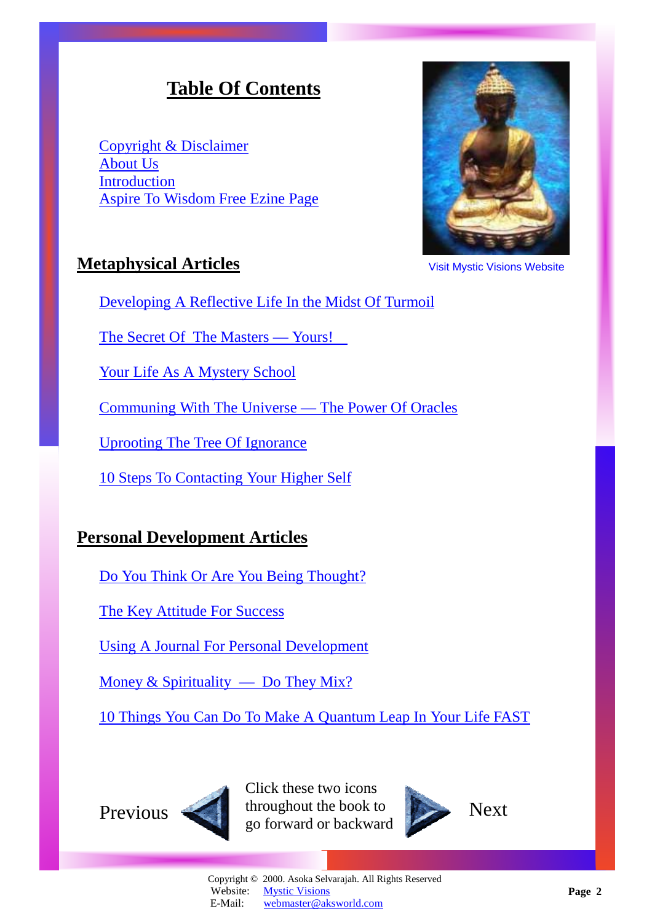# **Table Of Contents**

<span id="page-1-0"></span>[Copyright & Disclaimer](#page-2-0) [About Us](#page-3-0) **[Introduction](#page-4-0)** [Aspire To Wisdom Free Ezine Page](#page-37-0)



# **Metaphysical Articles**

Visit Mystic Visions Website

[Developing A Reflective Life In the Midst Of Turmoil](#page-5-0)

[The Secret Of The Masters — Yours!](#page-7-0) 

[Your Life As A Mystery School](#page-10-0)

[Communing With The Universe — The Power Of Oracles](#page-13-0)

[Uprooting The Tree Of Ignorance](#page-16-0)

[10 Steps To Contacting Your Higher Self](#page-19-0) 

# **Personal Development Articles**

[Do You Think Or Are You Being Thought?](#page-22-0)

[The Key Attitude For Success](#page-25-0)

[Using A Journal For Personal Development](#page-28-0)

Money  $&$  Spirituality — Do They Mix?

[10 Things You Can Do To Make A Quantum Leap In Your Life FAST](#page-34-0)



Previous throughout the book to Next Click these two icons go forward or backward

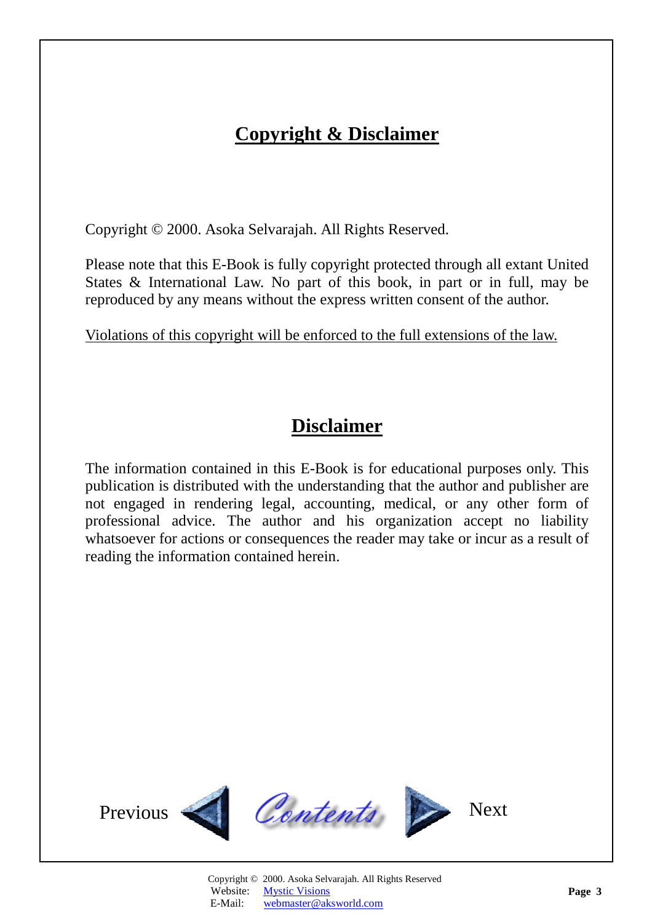# **Copyright & Disclaimer**

<span id="page-2-1"></span><span id="page-2-0"></span>Copyright © 2000. Asoka Selvarajah. All Rights Reserved.

Please note that this E-Book is fully copyright protected through all extant United States & International Law. No part of this book, in part or in full, may be reproduced by any means without the express written consent of the author.

Violations of this copyright will be enforced to the full extensions of the law.

# **Disclaimer**

The information contained in this E-Book is for educational purposes only. This publication is distributed with the understanding that the author and publisher are not engaged in rendering legal, accounting, medical, or any other form of professional advice. The author and his organization accept no liability whatsoever for actions or consequences the reader may take or incur as a result of reading the information contained herein.

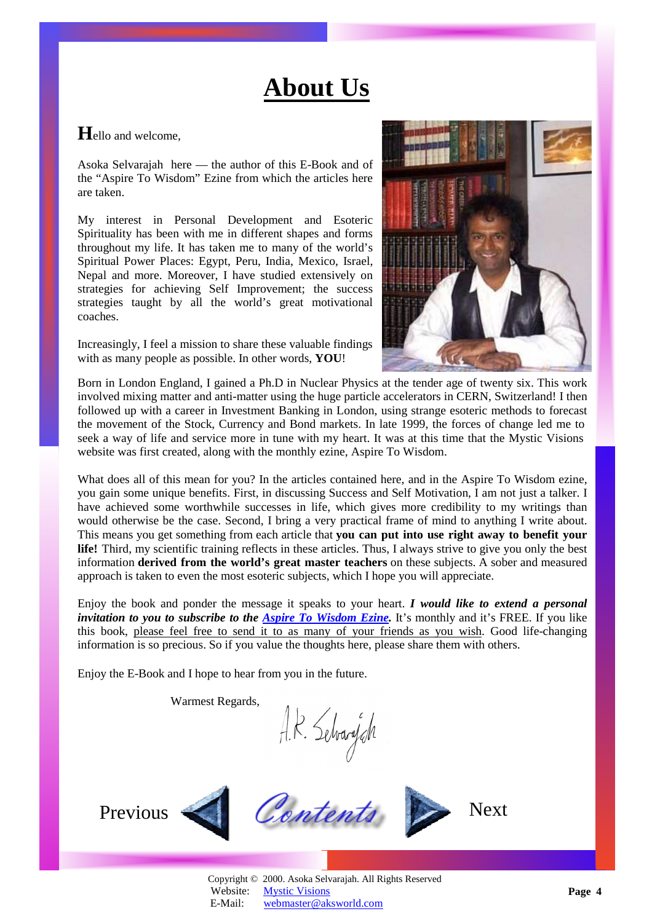# **About Us**

### <span id="page-3-1"></span><span id="page-3-0"></span>**H**ello and welcome,

Asoka Selvarajah here — the author of this E-Book and of the "Aspire To Wisdom" Ezine from which the articles here are taken.

My interest in Personal Development and Esoteric Spirituality has been with me in different shapes and forms throughout my life. It has taken me to many of the world's Spiritual Power Places: Egypt, Peru, India, Mexico, Israel, Nepal and more. Moreover, I have studied extensively on strategies for achieving Self Improvement; the success strategies taught by all the world's great motivational coaches.

Increasingly, I feel a mission to share these valuable findings with as many people as possible. In other words, **YOU**!



Born in London England, I gained a Ph.D in Nuclear Physics at the tender age of twenty six. This work involved mixing matter and anti-matter using the huge particle accelerators in CERN, Switzerland! I then followed up with a career in Investment Banking in London, using strange esoteric methods to forecast the movement of the Stock, Currency and Bond markets. In late 1999, the forces of change led me to seek a way of life and service more in tune with my heart. It was at this time that the Mystic Visions website was first created, along with the monthly ezine, Aspire To Wisdom.

What does all of this mean for you? In the articles contained here, and in the Aspire To Wisdom ezine, you gain some unique benefits. First, in discussing Success and Self Motivation, I am not just a talker. I have achieved some worthwhile successes in life, which gives more credibility to my writings than would otherwise be the case. Second, I bring a very practical frame of mind to anything I write about. This means you get something from each article that **you can put into use right away to benefit your life!** Third, my scientific training reflects in these articles. Thus, I always strive to give you only the best information **derived from the world's great master teachers** on these subjects. A sober and measured approach is taken to even the most esoteric subjects, which I hope you will appreciate.

Enjoy the book and ponder the message it speaks to your heart. *I would like to extend a personal invitation to you to subscribe to the [Aspire To Wisdom Ezine.](http://www.aksworld.com/AspireToWisdom.htm)* It's monthly and it's FREE. If you like this book, please feel free to send it to as many of your friends as you wish. Good life-changing information is so precious. So if you value the thoughts here, please share them with others.

Enjoy the E-Book and I hope to hear from you in the future.

Warmest Regards,

Warmest Regards.<br> $A.R.$  Selvary $A$ <br>Previous Contents Prext





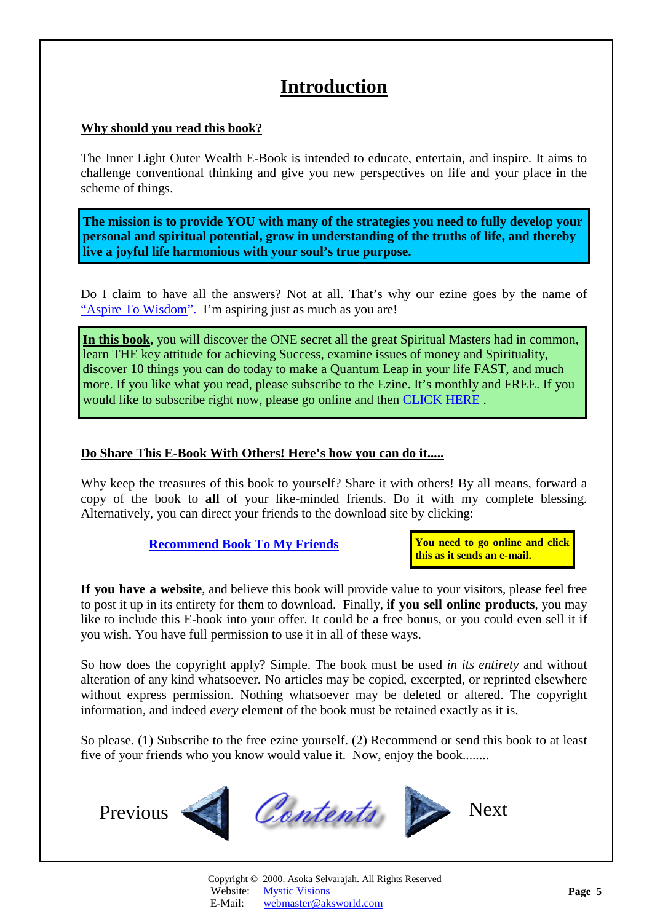# **Introduction**

### <span id="page-4-0"></span>**Why should you read this book?**

The Inner Light Outer Wealth E-Book is intended to educate, entertain, and inspire. It aims to challenge conventional thinking and give you new perspectives on life and your place in the scheme of things.

**The mission is to provide YOU with many of the strategies you need to fully develop your personal and spiritual potential, grow in understanding of the truths of life, and thereby live a joyful life harmonious with your soul's true purpose.**

Do I claim to have all the answers? Not at all. That's why our ezine goes by the name of ["Aspire To Wisdom".](#page-37-1) I'm aspiring just as much as you are!

**In this book,** you will discover the ONE secret all the great Spiritual Masters had in common, learn THE key attitude for achieving Success, examine issues of money and Spirituality, discover 10 things you can do today to make a Quantum Leap in your life FAST, and much more. If you like what you read, please subscribe to the Ezine. It's monthly and FREE. If you would like to subscribe right now, please go online and then [CLICK HERE](http://www.aksworld.com/AspireToWisdom.htm) .

### **Do Share This E-Book With Others! Here's how you can do it.....**

Why keep the treasures of this book to yourself? Share it with others! By all means, forward a copy of the book to **all** of your like-minded friends. Do it with my complete blessing. Alternatively, you can direct your friends to the download site by clicking:

**[Recommend Book To My Friends](http://www.recommend-it.com/l.z.e?s=825799)**

**You need to go online and click this as it sends an e-mail.** 

**If you have a website**, and believe this book will provide value to your visitors, please feel free to post it up in its entirety for them to download. Finally, **if you sell online products**, you may like to include this E-book into your offer. It could be a free bonus, or you could even sell it if you wish. You have full permission to use it in all of these ways.

So how does the copyright apply? Simple. The book must be used *in its entirety* and without alteration of any kind whatsoever*.* No articles may be copied, excerpted, or reprinted elsewhere without express permission. Nothing whatsoever may be deleted or altered. The copyright information, and indeed *every* element of the book must be retained exactly as it is.

So please. (1) Subscribe to the free ezine yourself. (2) Recommend or send this book to at least five of your friends who you know would value it. Now, enjoy the book........

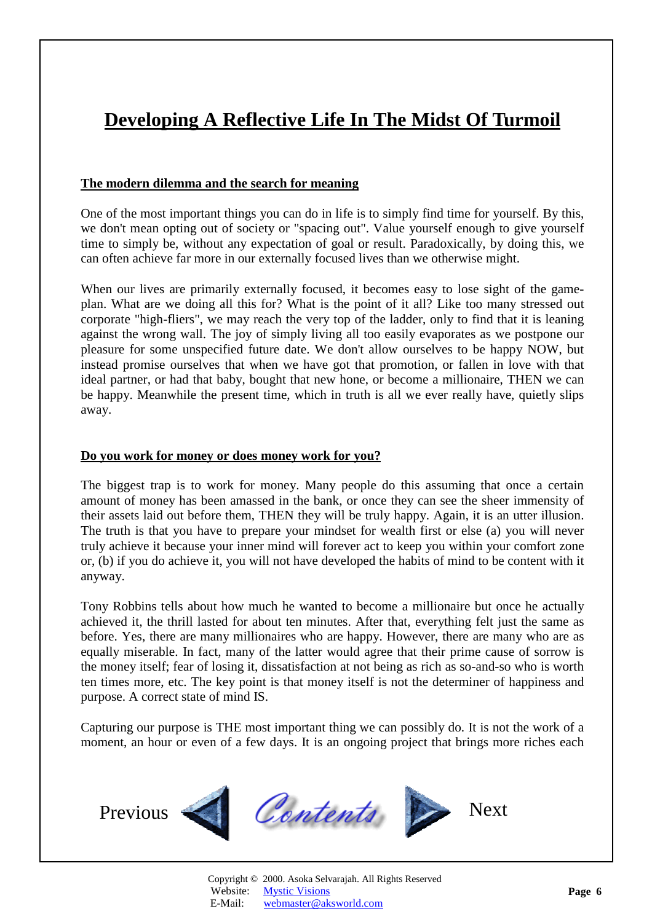# <span id="page-5-1"></span><span id="page-5-0"></span>**Developing A Reflective Life In The Midst Of Turmoil**

### **The modern dilemma and the search for meaning**

One of the most important things you can do in life is to simply find time for yourself. By this, we don't mean opting out of society or "spacing out". Value yourself enough to give yourself time to simply be, without any expectation of goal or result. Paradoxically, by doing this, we can often achieve far more in our externally focused lives than we otherwise might.

When our lives are primarily externally focused, it becomes easy to lose sight of the gameplan. What are we doing all this for? What is the point of it all? Like too many stressed out corporate "high-fliers", we may reach the very top of the ladder, only to find that it is leaning against the wrong wall. The joy of simply living all too easily evaporates as we postpone our pleasure for some unspecified future date. We don't allow ourselves to be happy NOW, but instead promise ourselves that when we have got that promotion, or fallen in love with that ideal partner, or had that baby, bought that new hone, or become a millionaire, THEN we can be happy. Meanwhile the present time, which in truth is all we ever really have, quietly slips away.

### **Do you work for money or does money work for you?**

The biggest trap is to work for money. Many people do this assuming that once a certain amount of money has been amassed in the bank, or once they can see the sheer immensity of their assets laid out before them, THEN they will be truly happy. Again, it is an utter illusion. The truth is that you have to prepare your mindset for wealth first or else (a) you will never truly achieve it because your inner mind will forever act to keep you within your comfort zone or, (b) if you do achieve it, you will not have developed the habits of mind to be content with it anyway.

Tony Robbins tells about how much he wanted to become a millionaire but once he actually achieved it, the thrill lasted for about ten minutes. After that, everything felt just the same as before. Yes, there are many millionaires who are happy. However, there are many who are as equally miserable. In fact, many of the latter would agree that their prime cause of sorrow is the money itself; fear of losing it, dissatisfaction at not being as rich as so-and-so who is worth ten times more, etc. The key point is that money itself is not the determiner of happiness and purpose. A correct state of mind IS.

Capturing our purpose is THE most important thing we can possibly do. It is not the work of a moment, an hour or even of a few days. It is an ongoing project that brings more riches each

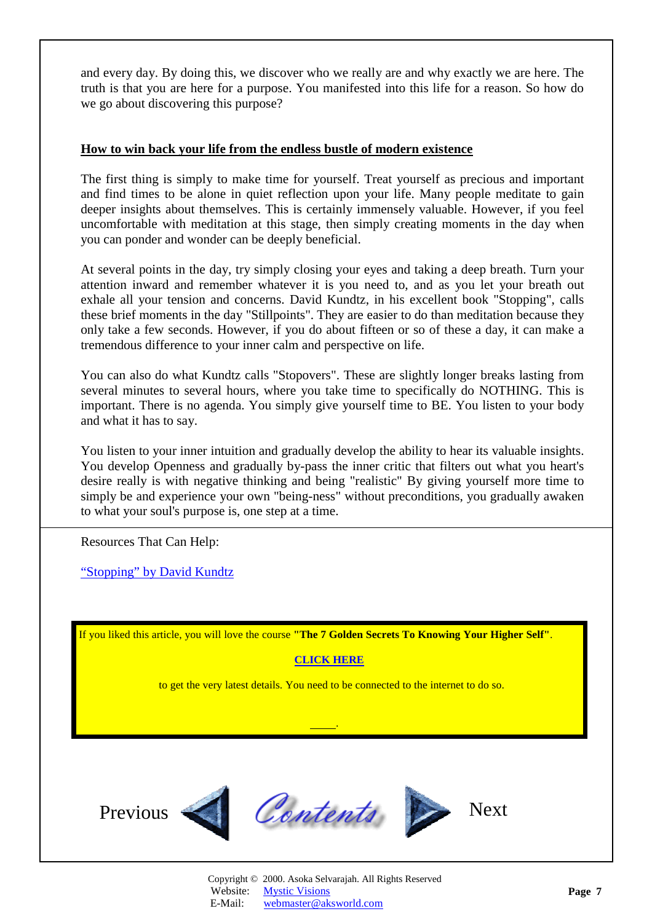<span id="page-6-0"></span>and every day. By doing this, we discover who we really are and why exactly we are here. The truth is that you are here for a purpose. You manifested into this life for a reason. So how do we go about discovering this purpose?

#### **How to win back your life from the endless bustle of modern existence**

The first thing is simply to make time for yourself. Treat yourself as precious and important and find times to be alone in quiet reflection upon your life. Many people meditate to gain deeper insights about themselves. This is certainly immensely valuable. However, if you feel uncomfortable with meditation at this stage, then simply creating moments in the day when you can ponder and wonder can be deeply beneficial.

At several points in the day, try simply closing your eyes and taking a deep breath. Turn your attention inward and remember whatever it is you need to, and as you let your breath out exhale all your tension and concerns. David Kundtz, in his excellent book "Stopping", calls these brief moments in the day "Stillpoints". They are easier to do than meditation because they only take a few seconds. However, if you do about fifteen or so of these a day, it can make a tremendous difference to your inner calm and perspective on life.

You can also do what Kundtz calls "Stopovers". These are slightly longer breaks lasting from several minutes to several hours, where you take time to specifically do NOTHING. This is important. There is no agenda. You simply give yourself time to BE. You listen to your body and what it has to say.

You listen to your inner intuition and gradually develop the ability to hear its valuable insights. You develop Openness and gradually by-pass the inner critic that filters out what you heart's desire really is with negative thinking and being "realistic" By giving yourself more time to simply be and experience your own "being-ness" without preconditions, you gradually awaken to what your soul's purpose is, one step at a time.

Resources That Can Help:

["Stopping" by David Kundtz](http://www.amazon.com/exec/obidos/ASIN/1573241091/amazinglifestyle)

If you liked this article, you will love the course **"The 7 Golden Secrets To Knowing Your Higher Self"**.

### **[CLICK HERE](http://www.aksworld.com/7GS.htm)**

to get the very latest details. You need to be connected to the internet to do so.

.



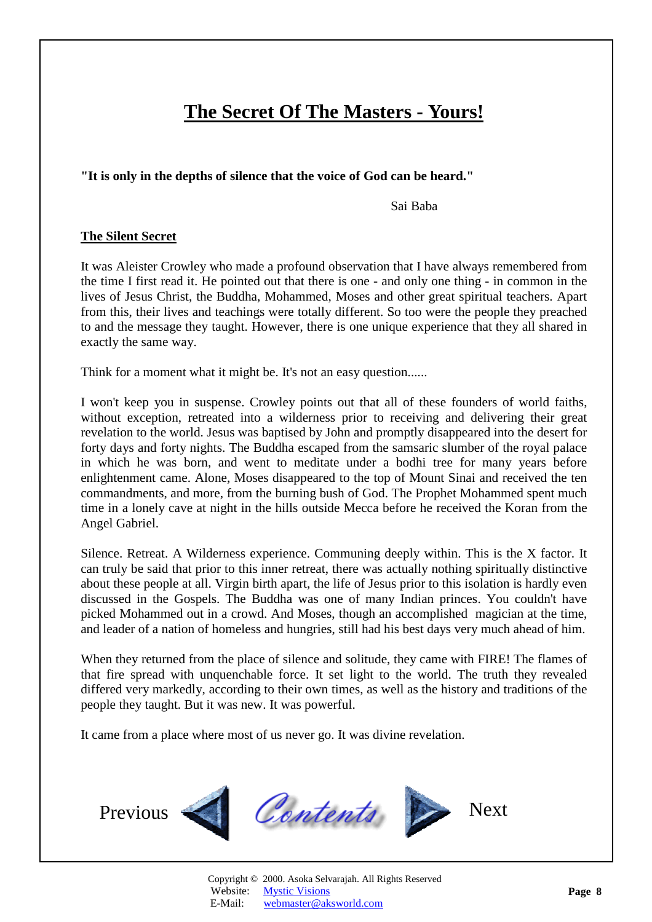# **The Secret Of The Masters - Yours!**

#### <span id="page-7-1"></span><span id="page-7-0"></span>**"It is only in the depths of silence that the voice of God can be heard."**

Sai Baba

#### **The Silent Secret**

It was Aleister Crowley who made a profound observation that I have always remembered from the time I first read it. He pointed out that there is one - and only one thing - in common in the lives of Jesus Christ, the Buddha, Mohammed, Moses and other great spiritual teachers. Apart from this, their lives and teachings were totally different. So too were the people they preached to and the message they taught. However, there is one unique experience that they all shared in exactly the same way.

Think for a moment what it might be. It's not an easy question......

I won't keep you in suspense. Crowley points out that all of these founders of world faiths, without exception, retreated into a wilderness prior to receiving and delivering their great revelation to the world. Jesus was baptised by John and promptly disappeared into the desert for forty days and forty nights. The Buddha escaped from the samsaric slumber of the royal palace in which he was born, and went to meditate under a bodhi tree for many years before enlightenment came. Alone, Moses disappeared to the top of Mount Sinai and received the ten commandments, and more, from the burning bush of God. The Prophet Mohammed spent much time in a lonely cave at night in the hills outside Mecca before he received the Koran from the Angel Gabriel.

Silence. Retreat. A Wilderness experience. Communing deeply within. This is the X factor. It can truly be said that prior to this inner retreat, there was actually nothing spiritually distinctive about these people at all. Virgin birth apart, the life of Jesus prior to this isolation is hardly even discussed in the Gospels. The Buddha was one of many Indian princes. You couldn't have picked Mohammed out in a crowd. And Moses, though an accomplished magician at the time, and leader of a nation of homeless and hungries, still had his best days very much ahead of him.

When they returned from the place of silence and solitude, they came with FIRE! The flames of that fire spread with unquenchable force. It set light to the world. The truth they revealed differed very markedly, according to their own times, as well as the history and traditions of the people they taught. But it was new. It was powerful.

It came from a place where most of us never go. It was divine revelation.

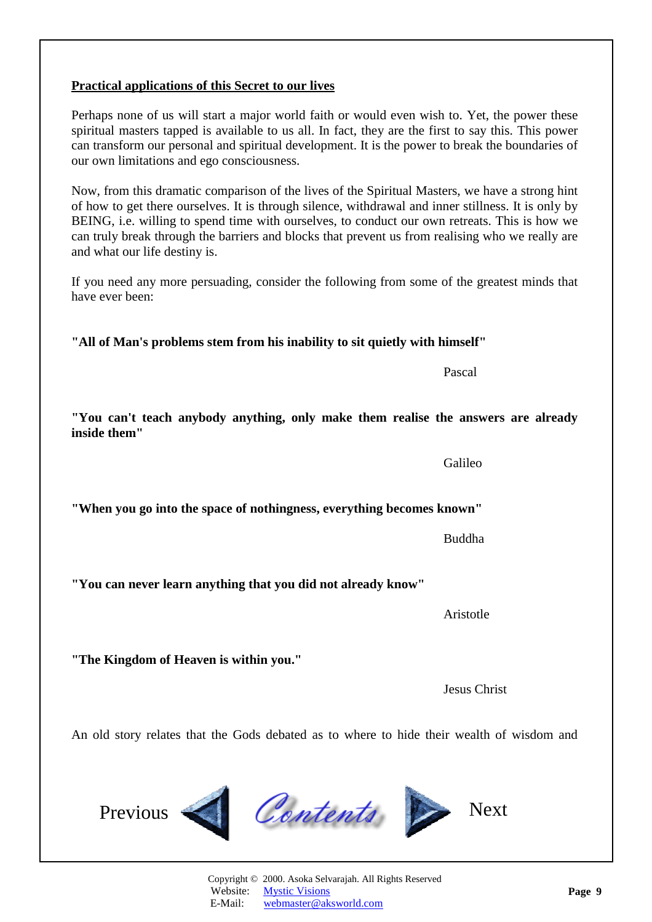Copyright © 2000. Asoka Selvarajah. All Rights Reserved Website: [Mystic Visions](http://www.aksworld.com)

An old story relates that the Gods debated as to where to hide their wealth of wisdom and

have ever been:

**"The Kingdom of Heaven is within you."** 

<span id="page-8-0"></span>**Practical applications of this Secret to our lives**

Aristotle

**"You can never learn anything that you did not already know"** 

**"When you go into the space of nothingness, everything becomes known"** 

Buddha

**inside them"**  Galileo

**"You can't teach anybody anything, only make them realise the answers are already** 

Now, from this dramatic comparison of the lives of the Spiritual Masters, we have a strong hint of how to get there ourselves. It is through silence, withdrawal and inner stillness. It is only by BEING, i.e. willing to spend time with ourselves, to conduct our own retreats. This is how we can truly break through the barriers and blocks that prevent us from realising who we really are and what our life destiny is.

Perhaps none of us will start a major world faith or would even wish to. Yet, the power these spiritual masters tapped is available to us all. In fact, they are the first to say this. This power can transform our personal and spiritual development. It is the power to break the boundaries of our own limitations and ego consciousness.

If you need any more persuading, consider the following from some of the greatest minds that

# **"All of Man's problems stem from his inability to sit quietly with himself"**

Pascal Pascal and the Pascal of the Pascal and the Pascal of the Pascal and the Pascal of the Pascal of the Pascal of the Pascal of the Pascal of the Pascal of the Pascal of the Pascal of the Pascal of the Pascal of the Pa

Jesus Christ









E-Mail: [webmaster@aksworld.com](mailto:info@aksworld.com?subject=E-Book1)

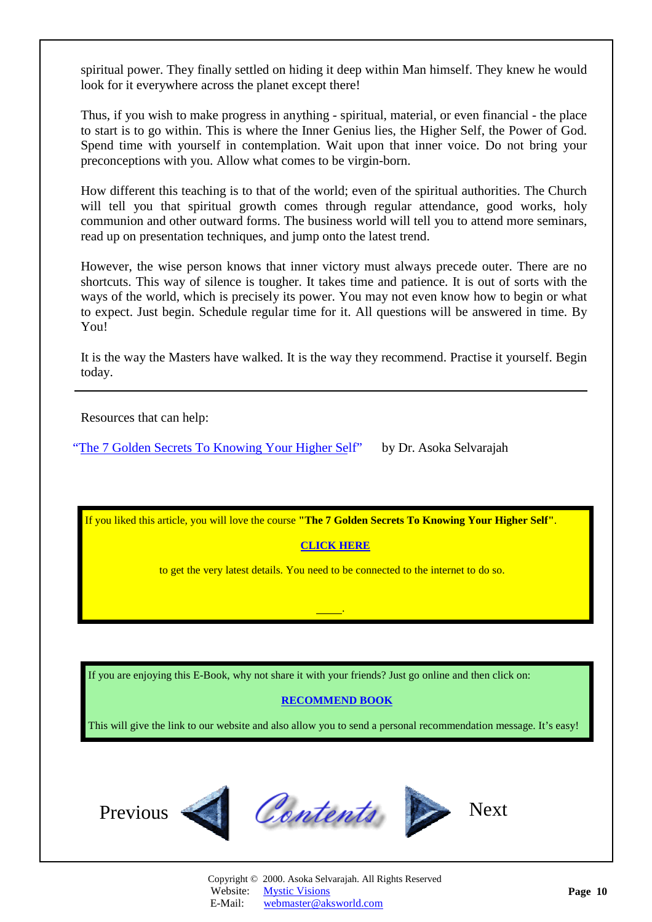<span id="page-9-0"></span>spiritual power. They finally settled on hiding it deep within Man himself. They knew he would look for it everywhere across the planet except there!

Thus, if you wish to make progress in anything - spiritual, material, or even financial - the place to start is to go within. This is where the Inner Genius lies, the Higher Self, the Power of God. Spend time with yourself in contemplation. Wait upon that inner voice. Do not bring your preconceptions with you. Allow what comes to be virgin-born.

How different this teaching is to that of the world; even of the spiritual authorities. The Church will tell you that spiritual growth comes through regular attendance, good works, holy communion and other outward forms. The business world will tell you to attend more seminars, read up on presentation techniques, and jump onto the latest trend.

However, the wise person knows that inner victory must always precede outer. There are no shortcuts. This way of silence is tougher. It takes time and patience. It is out of sorts with the ways of the world, which is precisely its power. You may not even know how to begin or what to expect. Just begin. Schedule regular time for it. All questions will be answered in time. By You!

It is the way the Masters have walked. It is the way they recommend. Practise it yourself. Begin today.

Resources that can help:

"The [7 Golden Secrets To Knowing Your Higher Self](http://www.aksworld.com/7GS.htm)" by Dr. Asoka Selvarajah

If you liked this article, you will love the course **"The 7 Golden Secrets To Knowing Your Higher Self"**.

### **[CLICK HERE](http://www.aksworld.com/7GS.htm)**

.

to get the very latest details. You need to be connected to the internet to do so.

If you are enjoying this E-Book, why not share it with your friends? Just go online and then click on:

# **[RECOMMEND BOOK](http://www.recommend-it.com/l.z.e?s=825799)**

This will give the link to our website and also allow you to send a personal recommendation message. It's easy!



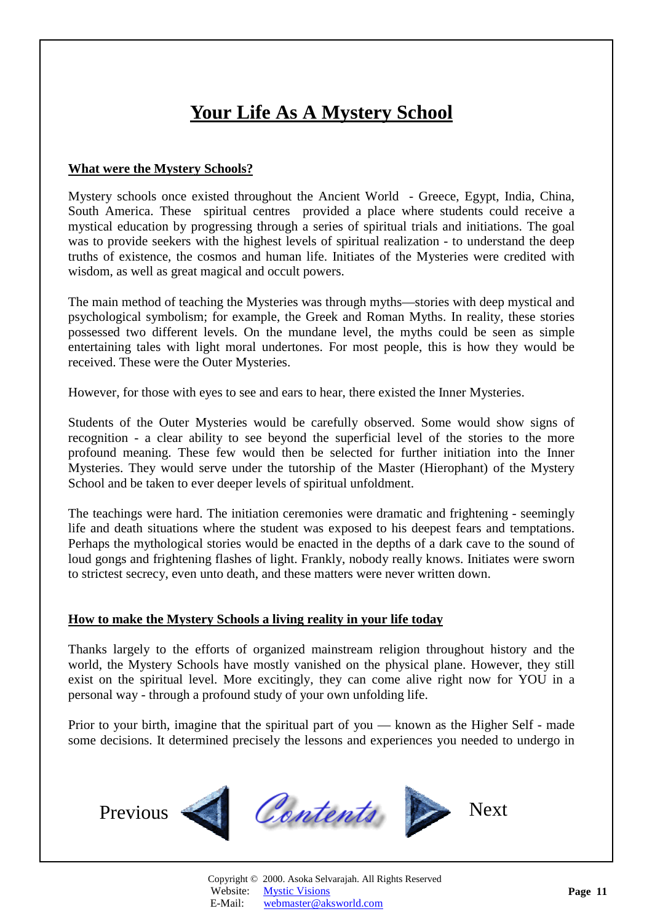# **Your Life As A Mystery School**

#### <span id="page-10-1"></span><span id="page-10-0"></span>**What were the Mystery Schools?**

Mystery schools once existed throughout the Ancient World - Greece, Egypt, India, China, South America. These spiritual centres provided a place where students could receive a mystical education by progressing through a series of spiritual trials and initiations. The goal was to provide seekers with the highest levels of spiritual realization - to understand the deep truths of existence, the cosmos and human life. Initiates of the Mysteries were credited with wisdom, as well as great magical and occult powers.

The main method of teaching the Mysteries was through myths—stories with deep mystical and psychological symbolism; for example, the Greek and Roman Myths. In reality, these stories possessed two different levels. On the mundane level, the myths could be seen as simple entertaining tales with light moral undertones. For most people, this is how they would be received. These were the Outer Mysteries.

However, for those with eyes to see and ears to hear, there existed the Inner Mysteries.

Students of the Outer Mysteries would be carefully observed. Some would show signs of recognition - a clear ability to see beyond the superficial level of the stories to the more profound meaning. These few would then be selected for further initiation into the Inner Mysteries. They would serve under the tutorship of the Master (Hierophant) of the Mystery School and be taken to ever deeper levels of spiritual unfoldment.

The teachings were hard. The initiation ceremonies were dramatic and frightening - seemingly life and death situations where the student was exposed to his deepest fears and temptations. Perhaps the mythological stories would be enacted in the depths of a dark cave to the sound of loud gongs and frightening flashes of light. Frankly, nobody really knows. Initiates were sworn to strictest secrecy, even unto death, and these matters were never written down.

#### **How to make the Mystery Schools a living reality in your life today**

Thanks largely to the efforts of organized mainstream religion throughout history and the world, the Mystery Schools have mostly vanished on the physical plane. However, they still exist on the spiritual level. More excitingly, they can come alive right now for YOU in a personal way - through a profound study of your own unfolding life.

Prior to your birth, imagine that the spiritual part of you — known as the Higher Self - made some decisions. It determined precisely the lessons and experiences you needed to undergo in

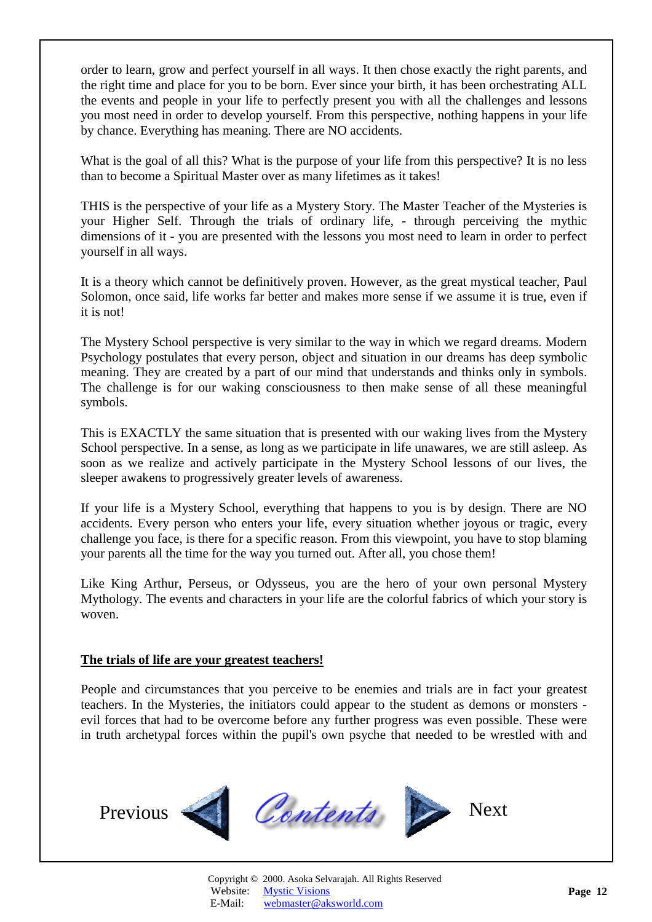<span id="page-11-0"></span>order to learn, grow and perfect yourself in all ways. It then chose exactly the right parents, and the right time and place for you to be born. Ever since your birth, it has been orchestrating ALL the events and people in your life to perfectly present you with all the challenges and lessons you most need in order to develop yourself. From this perspective, nothing happens in your life by chance. Everything has meaning. There are NO accidents.

What is the goal of all this? What is the purpose of your life from this perspective? It is no less than to become a Spiritual Master over as many lifetimes as it takes!

THIS is the perspective of your life as a Mystery Story. The Master Teacher of the Mysteries is your Higher Self. Through the trials of ordinary life, - through perceiving the mythic dimensions of it - you are presented with the lessons you most need to learn in order to perfect yourself in all ways.

It is a theory which cannot be definitively proven. However, as the great mystical teacher, Paul Solomon, once said, life works far better and makes more sense if we assume it is true, even if it is not!

The Mystery School perspective is very similar to the way in which we regard dreams. Modern Psychology postulates that every person, object and situation in our dreams has deep symbolic meaning. They are created by a part of our mind that understands and thinks only in symbols. The challenge is for our waking consciousness to then make sense of all these meaningful symbols.

This is EXACTLY the same situation that is presented with our waking lives from the Mystery School perspective. In a sense, as long as we participate in life unawares, we are still asleep. As soon as we realize and actively participate in the Mystery School lessons of our lives, the sleeper awakens to progressively greater levels of awareness.

If your life is a Mystery School, everything that happens to you is by design. There are NO accidents. Every person who enters your life, every situation whether joyous or tragic, every challenge you face, is there for a specific reason. From this viewpoint, you have to stop blaming your parents all the time for the way you turned out. After all, you chose them!

Like King Arthur, Perseus, or Odysseus, you are the hero of your own personal Mystery Mythology. The events and characters in your life are the colorful fabrics of which your story is woven.

#### **The trials of life are your greatest teachers!**

People and circumstances that you perceive to be enemies and trials are in fact your greatest teachers. In the Mysteries, the initiators could appear to the student as demons or monsters evil forces that had to be overcome before any further progress was even possible. These were in truth archetypal forces within the pupil's own psyche that needed to be wrestled with and

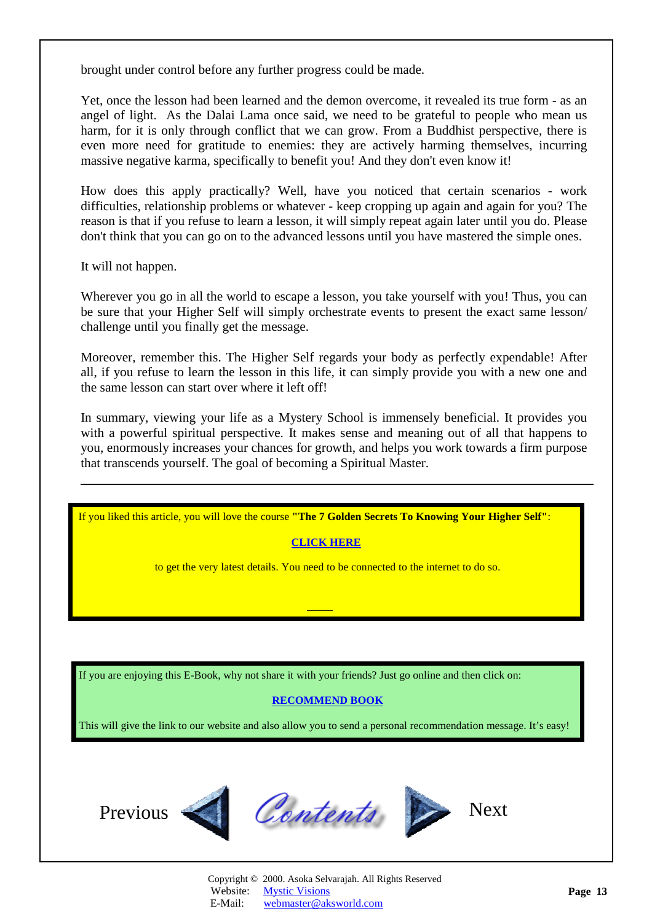<span id="page-12-0"></span>brought under control before any further progress could be made.

Yet, once the lesson had been learned and the demon overcome, it revealed its true form - as an angel of light. As the Dalai Lama once said, we need to be grateful to people who mean us harm, for it is only through conflict that we can grow. From a Buddhist perspective, there is even more need for gratitude to enemies: they are actively harming themselves, incurring massive negative karma, specifically to benefit you! And they don't even know it!

How does this apply practically? Well, have you noticed that certain scenarios - work difficulties, relationship problems or whatever - keep cropping up again and again for you? The reason is that if you refuse to learn a lesson, it will simply repeat again later until you do. Please don't think that you can go on to the advanced lessons until you have mastered the simple ones.

It will not happen.

l

Wherever you go in all the world to escape a lesson, you take yourself with you! Thus, you can be sure that your Higher Self will simply orchestrate events to present the exact same lesson/ challenge until you finally get the message.

Moreover, remember this. The Higher Self regards your body as perfectly expendable! After all, if you refuse to learn the lesson in this life, it can simply provide you with a new one and the same lesson can start over where it left off!

In summary, viewing your life as a Mystery School is immensely beneficial. It provides you with a powerful spiritual perspective. It makes sense and meaning out of all that happens to you, enormously increases your chances for growth, and helps you work towards a firm purpose that transcends yourself. The goal of becoming a Spiritual Master.

If you liked this article, you will love the course **"The 7 Golden Secrets To Knowing Your Higher Self"**:

# **[CLICK HERE](http://www.aksworld.com/7GS.htm)**

to get the very latest details. You need to be connected to the internet to do so.

If you are enjoying this E-Book, why not share it with your friends? Just go online and then click on:

# **[RECOMMEND BOOK](http://www.recommend-it.com/l.z.e?s=825799)**

This will give the link to our website and also allow you to send a personal recommendation message. It's easy!





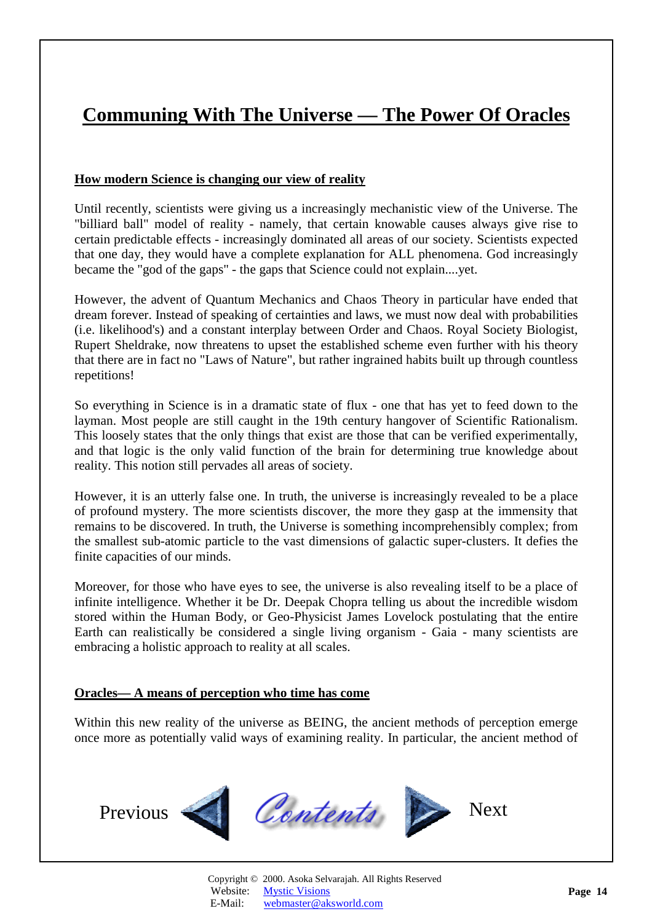# <span id="page-13-1"></span><span id="page-13-0"></span>**Communing With The Universe — The Power Of Oracles**

### **How modern Science is changing our view of reality**

Until recently, scientists were giving us a increasingly mechanistic view of the Universe. The "billiard ball" model of reality - namely, that certain knowable causes always give rise to certain predictable effects - increasingly dominated all areas of our society. Scientists expected that one day, they would have a complete explanation for ALL phenomena. God increasingly became the "god of the gaps" - the gaps that Science could not explain....yet.

However, the advent of Quantum Mechanics and Chaos Theory in particular have ended that dream forever. Instead of speaking of certainties and laws, we must now deal with probabilities (i.e. likelihood's) and a constant interplay between Order and Chaos. Royal Society Biologist, Rupert Sheldrake, now threatens to upset the established scheme even further with his theory that there are in fact no "Laws of Nature", but rather ingrained habits built up through countless repetitions!

So everything in Science is in a dramatic state of flux - one that has yet to feed down to the layman. Most people are still caught in the 19th century hangover of Scientific Rationalism. This loosely states that the only things that exist are those that can be verified experimentally, and that logic is the only valid function of the brain for determining true knowledge about reality. This notion still pervades all areas of society.

However, it is an utterly false one. In truth, the universe is increasingly revealed to be a place of profound mystery. The more scientists discover, the more they gasp at the immensity that remains to be discovered. In truth, the Universe is something incomprehensibly complex; from the smallest sub-atomic particle to the vast dimensions of galactic super-clusters. It defies the finite capacities of our minds.

Moreover, for those who have eyes to see, the universe is also revealing itself to be a place of infinite intelligence. Whether it be Dr. Deepak Chopra telling us about the incredible wisdom stored within the Human Body, or Geo-Physicist James Lovelock postulating that the entire Earth can realistically be considered a single living organism - Gaia - many scientists are embracing a holistic approach to reality at all scales.

### **Oracles— A means of perception who time has come**

Within this new reality of the universe as BEING, the ancient methods of perception emerge once more as potentially valid ways of examining reality. In particular, the ancient method of

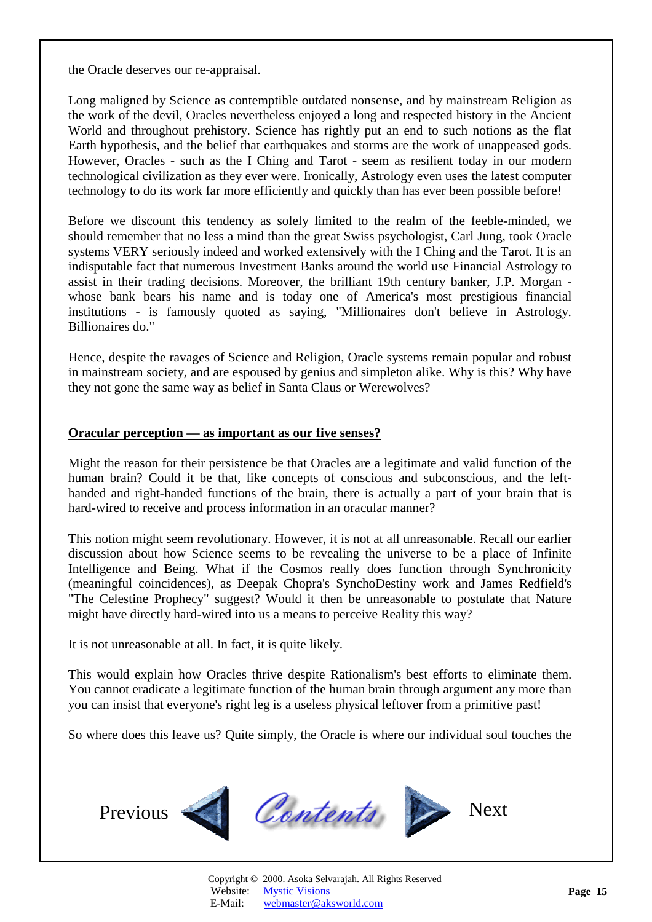<span id="page-14-0"></span>the Oracle deserves our re-appraisal.

Long maligned by Science as contemptible outdated nonsense, and by mainstream Religion as the work of the devil, Oracles nevertheless enjoyed a long and respected history in the Ancient World and throughout prehistory. Science has rightly put an end to such notions as the flat Earth hypothesis, and the belief that earthquakes and storms are the work of unappeased gods. However, Oracles - such as the I Ching and Tarot - seem as resilient today in our modern technological civilization as they ever were. Ironically, Astrology even uses the latest computer technology to do its work far more efficiently and quickly than has ever been possible before!

Before we discount this tendency as solely limited to the realm of the feeble-minded, we should remember that no less a mind than the great Swiss psychologist, Carl Jung, took Oracle systems VERY seriously indeed and worked extensively with the I Ching and the Tarot. It is an indisputable fact that numerous Investment Banks around the world use Financial Astrology to assist in their trading decisions. Moreover, the brilliant 19th century banker, J.P. Morgan whose bank bears his name and is today one of America's most prestigious financial institutions - is famously quoted as saying, "Millionaires don't believe in Astrology. Billionaires do."

Hence, despite the ravages of Science and Religion, Oracle systems remain popular and robust in mainstream society, and are espoused by genius and simpleton alike. Why is this? Why have they not gone the same way as belief in Santa Claus or Werewolves?

#### **Oracular perception — as important as our five senses?**

Might the reason for their persistence be that Oracles are a legitimate and valid function of the human brain? Could it be that, like concepts of conscious and subconscious, and the lefthanded and right-handed functions of the brain, there is actually a part of your brain that is hard-wired to receive and process information in an oracular manner?

This notion might seem revolutionary. However, it is not at all unreasonable. Recall our earlier discussion about how Science seems to be revealing the universe to be a place of Infinite Intelligence and Being. What if the Cosmos really does function through Synchronicity (meaningful coincidences), as Deepak Chopra's SynchoDestiny work and James Redfield's "The Celestine Prophecy" suggest? Would it then be unreasonable to postulate that Nature might have directly hard-wired into us a means to perceive Reality this way?

It is not unreasonable at all. In fact, it is quite likely.

This would explain how Oracles thrive despite Rationalism's best efforts to eliminate them. You cannot eradicate a legitimate function of the human brain through argument any more than you can insist that everyone's right leg is a useless physical leftover from a primitive past!

So where does this leave us? Quite simply, the Oracle is where our individual soul touches the

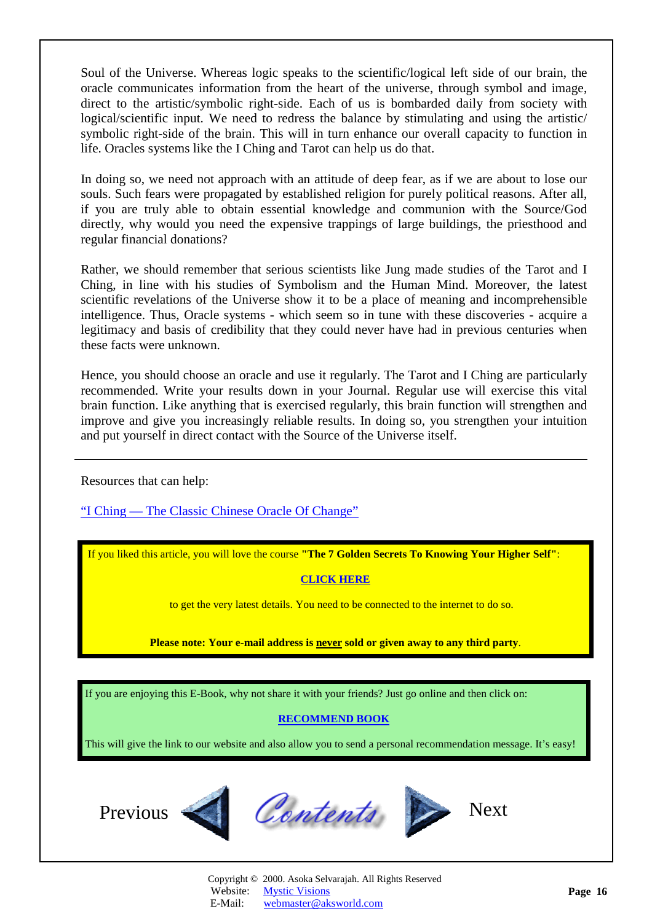<span id="page-15-0"></span>Soul of the Universe. Whereas logic speaks to the scientific/logical left side of our brain, the oracle communicates information from the heart of the universe, through symbol and image, direct to the artistic/symbolic right-side. Each of us is bombarded daily from society with logical/scientific input. We need to redress the balance by stimulating and using the artistic/ symbolic right-side of the brain. This will in turn enhance our overall capacity to function in life. Oracles systems like the I Ching and Tarot can help us do that.

In doing so, we need not approach with an attitude of deep fear, as if we are about to lose our souls. Such fears were propagated by established religion for purely political reasons. After all, if you are truly able to obtain essential knowledge and communion with the Source/God directly, why would you need the expensive trappings of large buildings, the priesthood and regular financial donations?

Rather, we should remember that serious scientists like Jung made studies of the Tarot and I Ching, in line with his studies of Symbolism and the Human Mind. Moreover, the latest scientific revelations of the Universe show it to be a place of meaning and incomprehensible intelligence. Thus, Oracle systems - which seem so in tune with these discoveries - acquire a legitimacy and basis of credibility that they could never have had in previous centuries when these facts were unknown.

Hence, you should choose an oracle and use it regularly. The Tarot and I Ching are particularly recommended. Write your results down in your Journal. Regular use will exercise this vital brain function. Like anything that is exercised regularly, this brain function will strengthen and improve and give you increasingly reliable results. In doing so, you strengthen your intuition and put yourself in direct contact with the Source of the Universe itself.

Resources that can help:

["I Ching — The Classic Chinese Oracle Of Change"](http://www.amazon.com/exec/obidos/ASIN/1852305363/amazinglifestyle)

If you liked this article, you will love the course **"The 7 Golden Secrets To Knowing Your Higher Self"**:

#### **[CLICK HERE](http://www.aksworld.com/7GS.htm)**

to get the very latest details. You need to be connected to the internet to do so.

**Please note: Your e-mail address is never sold or given away to any third party**.

If you are enjoying this E-Book, why not share it with your friends? Just go online and then click on:

### **[RECOMMEND BOOK](http://www.recommend-it.com/l.z.e?s=825799)**

This will give the link to our website and also allow you to send a personal recommendation message. It's easy!



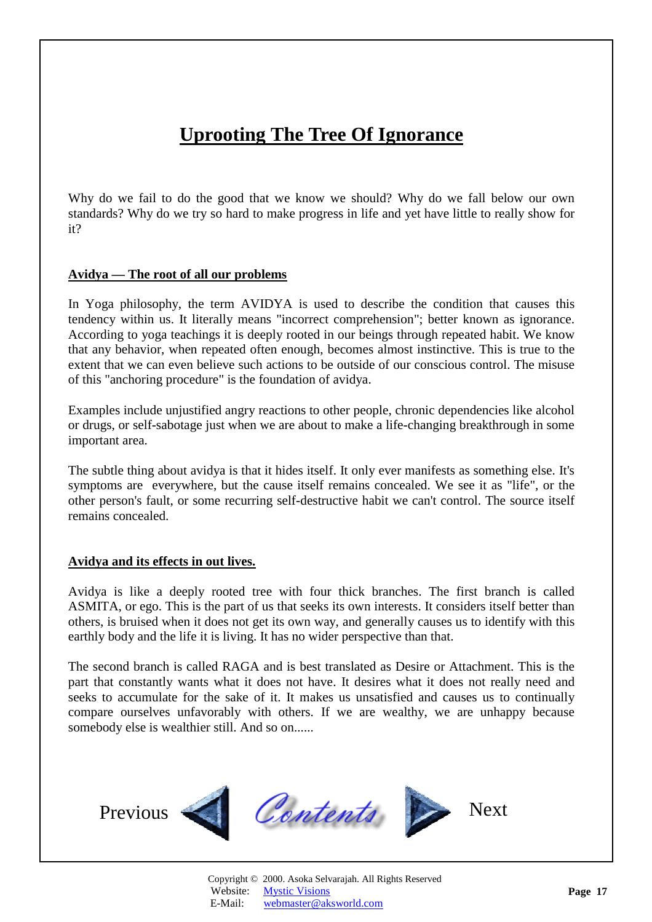# **Uprooting The Tree Of Ignorance**

<span id="page-16-0"></span>Why do we fail to do the good that we know we should? Why do we fall below our own standards? Why do we try so hard to make progress in life and yet have little to really show for it?

#### **Avidya — The root of all our problems**

In Yoga philosophy, the term AVIDYA is used to describe the condition that causes this tendency within us. It literally means "incorrect comprehension"; better known as ignorance. According to yoga teachings it is deeply rooted in our beings through repeated habit. We know that any behavior, when repeated often enough, becomes almost instinctive. This is true to the extent that we can even believe such actions to be outside of our conscious control. The misuse of this "anchoring procedure" is the foundation of avidya.

Examples include unjustified angry reactions to other people, chronic dependencies like alcohol or drugs, or self-sabotage just when we are about to make a life-changing breakthrough in some important area.

The subtle thing about avidya is that it hides itself. It only ever manifests as something else. It's symptoms are everywhere, but the cause itself remains concealed. We see it as "life", or the other person's fault, or some recurring self-destructive habit we can't control. The source itself remains concealed.

#### **Avidya and its effects in out lives.**

Avidya is like a deeply rooted tree with four thick branches. The first branch is called ASMITA, or ego. This is the part of us that seeks its own interests. It considers itself better than others, is bruised when it does not get its own way, and generally causes us to identify with this earthly body and the life it is living. It has no wider perspective than that.

The second branch is called RAGA and is best translated as Desire or Attachment. This is the part that constantly wants what it does not have. It desires what it does not really need and seeks to accumulate for the sake of it. It makes us unsatisfied and causes us to continually compare ourselves unfavorably with others. If we are wealthy, we are unhappy because somebody else is wealthier still. And so on......

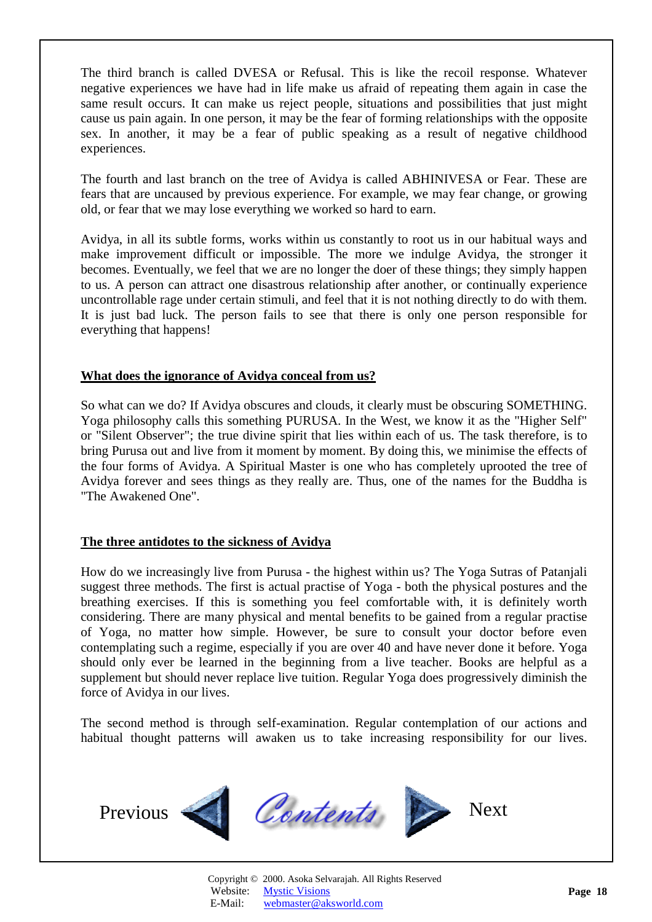<span id="page-17-0"></span>The third branch is called DVESA or Refusal. This is like the recoil response. Whatever negative experiences we have had in life make us afraid of repeating them again in case the same result occurs. It can make us reject people, situations and possibilities that just might cause us pain again. In one person, it may be the fear of forming relationships with the opposite sex. In another, it may be a fear of public speaking as a result of negative childhood experiences.

The fourth and last branch on the tree of Avidya is called ABHINIVESA or Fear. These are fears that are uncaused by previous experience. For example, we may fear change, or growing old, or fear that we may lose everything we worked so hard to earn.

Avidya, in all its subtle forms, works within us constantly to root us in our habitual ways and make improvement difficult or impossible. The more we indulge Avidya, the stronger it becomes. Eventually, we feel that we are no longer the doer of these things; they simply happen to us. A person can attract one disastrous relationship after another, or continually experience uncontrollable rage under certain stimuli, and feel that it is not nothing directly to do with them. It is just bad luck. The person fails to see that there is only one person responsible for everything that happens!

#### **What does the ignorance of Avidya conceal from us?**

So what can we do? If Avidya obscures and clouds, it clearly must be obscuring SOMETHING. Yoga philosophy calls this something PURUSA. In the West, we know it as the "Higher Self" or "Silent Observer"; the true divine spirit that lies within each of us. The task therefore, is to bring Purusa out and live from it moment by moment. By doing this, we minimise the effects of the four forms of Avidya. A Spiritual Master is one who has completely uprooted the tree of Avidya forever and sees things as they really are. Thus, one of the names for the Buddha is "The Awakened One".

### **The three antidotes to the sickness of Avidya**

How do we increasingly live from Purusa - the highest within us? The Yoga Sutras of Patanjali suggest three methods. The first is actual practise of Yoga - both the physical postures and the breathing exercises. If this is something you feel comfortable with, it is definitely worth considering. There are many physical and mental benefits to be gained from a regular practise of Yoga, no matter how simple. However, be sure to consult your doctor before even contemplating such a regime, especially if you are over 40 and have never done it before. Yoga should only ever be learned in the beginning from a live teacher. Books are helpful as a supplement but should never replace live tuition. Regular Yoga does progressively diminish the force of Avidya in our lives.

The second method is through self-examination. Regular contemplation of our actions and habitual thought patterns will awaken us to take increasing responsibility for our lives.

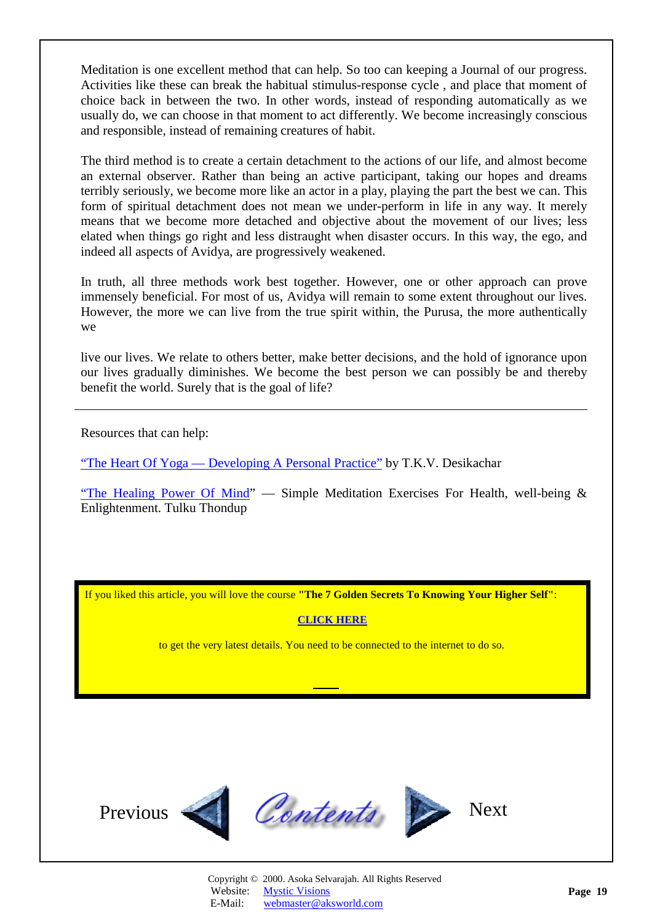<span id="page-18-0"></span>Meditation is one excellent method that can help. So too can keeping a Journal of our progress. Activities like these can break the habitual stimulus-response cycle , and place that moment of choice back in between the two. In other words, instead of responding automatically as we usually do, we can choose in that moment to act differently. We become increasingly conscious and responsible, instead of remaining creatures of habit.

The third method is to create a certain detachment to the actions of our life, and almost become an external observer. Rather than being an active participant, taking our hopes and dreams terribly seriously, we become more like an actor in a play, playing the part the best we can. This form of spiritual detachment does not mean we under-perform in life in any way. It merely means that we become more detached and objective about the movement of our lives; less elated when things go right and less distraught when disaster occurs. In this way, the ego, and indeed all aspects of Avidya, are progressively weakened.

In truth, all three methods work best together. However, one or other approach can prove immensely beneficial. For most of us, Avidya will remain to some extent throughout our lives. However, the more we can live from the true spirit within, the Purusa, the more authentically we

live our lives. We relate to others better, make better decisions, and the hold of ignorance upon our lives gradually diminishes. We become the best person we can possibly be and thereby benefit the world. Surely that is the goal of life?

Resources that can help:

["The Heart Of Yoga — Developing A Personal Practice"](http://www.amazon.com/exec/obidos/ASIN/089281764X/amazinglifestyle) by T.K.V. Desikachar

["The Healing Power Of Mind"](http://www.amazon.com/exec/obidos/ASIN/1570623309/amazinglifestyl) — Simple Meditation Exercises For Health, well-being  $\&$ Enlightenment. Tulku Thondup

If you liked this article, you will love the course **"The 7 Golden Secrets To Knowing Your Higher Self"**:

#### **[CLICK HERE](http://www.aksworld.com/7GS.htm)**

to get the very latest details. You need to be connected to the internet to do so.

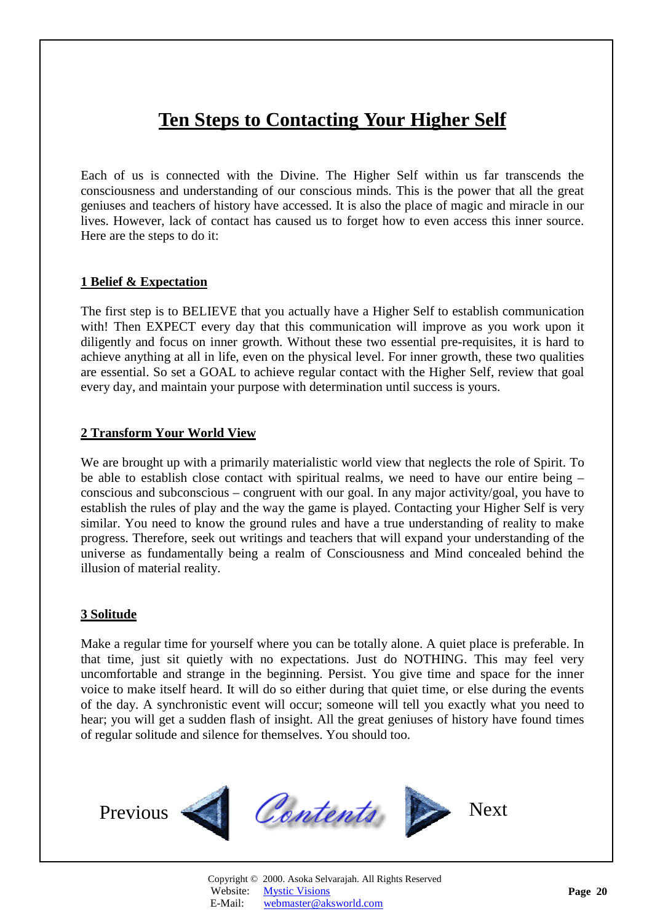# **Ten Steps to Contacting Your Higher Self**

<span id="page-19-1"></span><span id="page-19-0"></span>Each of us is connected with the Divine. The Higher Self within us far transcends the consciousness and understanding of our conscious minds. This is the power that all the great geniuses and teachers of history have accessed. It is also the place of magic and miracle in our lives. However, lack of contact has caused us to forget how to even access this inner source. Here are the steps to do it:

### **1 Belief & Expectation**

The first step is to BELIEVE that you actually have a Higher Self to establish communication with! Then EXPECT every day that this communication will improve as you work upon it diligently and focus on inner growth. Without these two essential pre-requisites, it is hard to achieve anything at all in life, even on the physical level. For inner growth, these two qualities are essential. So set a GOAL to achieve regular contact with the Higher Self, review that goal every day, and maintain your purpose with determination until success is yours.

#### **2 Transform Your World View**

We are brought up with a primarily materialistic world view that neglects the role of Spirit. To be able to establish close contact with spiritual realms, we need to have our entire being – conscious and subconscious – congruent with our goal. In any major activity/goal, you have to establish the rules of play and the way the game is played. Contacting your Higher Self is very similar. You need to know the ground rules and have a true understanding of reality to make progress. Therefore, seek out writings and teachers that will expand your understanding of the universe as fundamentally being a realm of Consciousness and Mind concealed behind the illusion of material reality.

### **3 Solitude**

Make a regular time for yourself where you can be totally alone. A quiet place is preferable. In that time, just sit quietly with no expectations. Just do NOTHING. This may feel very uncomfortable and strange in the beginning. Persist. You give time and space for the inner voice to make itself heard. It will do so either during that quiet time, or else during the events of the day. A synchronistic event will occur; someone will tell you exactly what you need to hear; you will get a sudden flash of insight. All the great geniuses of history have found times of regular solitude and silence for themselves. You should too.

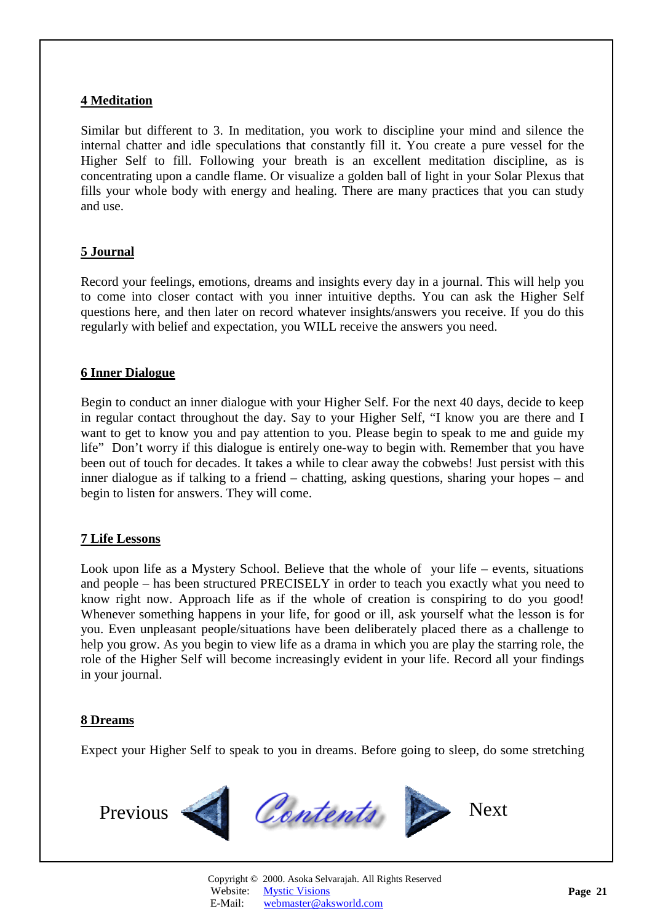### <span id="page-20-0"></span>**4 Meditation**

Similar but different to 3. In meditation, you work to discipline your mind and silence the internal chatter and idle speculations that constantly fill it. You create a pure vessel for the Higher Self to fill. Following your breath is an excellent meditation discipline, as is concentrating upon a candle flame. Or visualize a golden ball of light in your Solar Plexus that fills your whole body with energy and healing. There are many practices that you can study and use.

### **5 Journal**

Record your feelings, emotions, dreams and insights every day in a journal. This will help you to come into closer contact with you inner intuitive depths. You can ask the Higher Self questions here, and then later on record whatever insights/answers you receive. If you do this regularly with belief and expectation, you WILL receive the answers you need.

### **6 Inner Dialogue**

Begin to conduct an inner dialogue with your Higher Self. For the next 40 days, decide to keep in regular contact throughout the day. Say to your Higher Self, "I know you are there and I want to get to know you and pay attention to you. Please begin to speak to me and guide my life" Don't worry if this dialogue is entirely one-way to begin with. Remember that you have been out of touch for decades. It takes a while to clear away the cobwebs! Just persist with this inner dialogue as if talking to a friend – chatting, asking questions, sharing your hopes – and begin to listen for answers. They will come.

### **7 Life Lessons**

Look upon life as a Mystery School. Believe that the whole of your life – events, situations and people – has been structured PRECISELY in order to teach you exactly what you need to know right now. Approach life as if the whole of creation is conspiring to do you good! Whenever something happens in your life, for good or ill, ask yourself what the lesson is for you. Even unpleasant people/situations have been deliberately placed there as a challenge to help you grow. As you begin to view life as a drama in which you are play the starring role, the role of the Higher Self will become increasingly evident in your life. Record all your findings in your journal.

### **8 Dreams**

Expect your Higher Self to speak to you in dreams. Before going to sleep, do some stretching

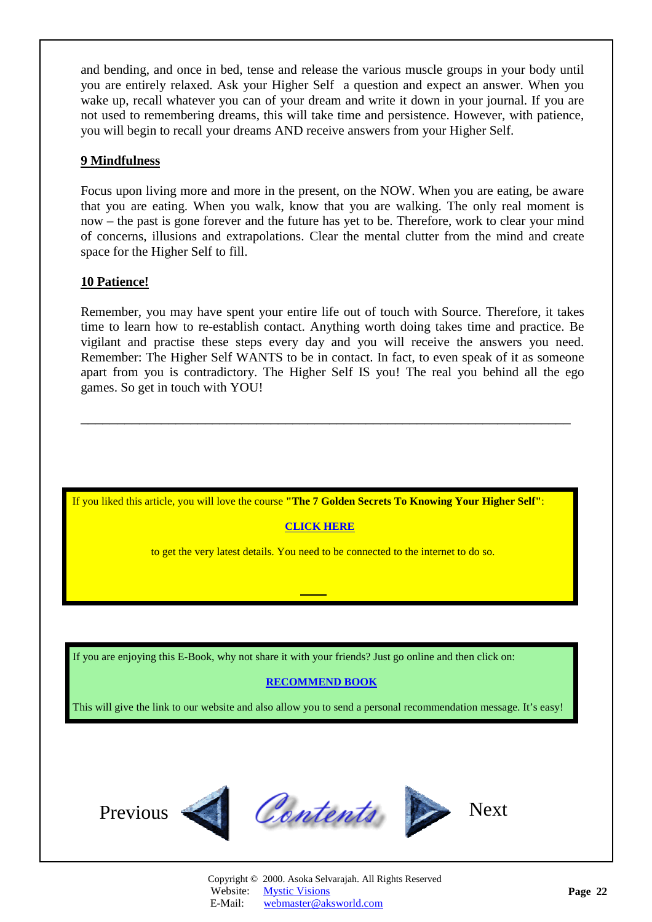<span id="page-21-0"></span>and bending, and once in bed, tense and release the various muscle groups in your body until you are entirely relaxed. Ask your Higher Self a question and expect an answer. When you wake up, recall whatever you can of your dream and write it down in your journal. If you are not used to remembering dreams, this will take time and persistence. However, with patience, you will begin to recall your dreams AND receive answers from your Higher Self.

### **9 Mindfulness**

Focus upon living more and more in the present, on the NOW. When you are eating, be aware that you are eating. When you walk, know that you are walking. The only real moment is now – the past is gone forever and the future has yet to be. Therefore, work to clear your mind of concerns, illusions and extrapolations. Clear the mental clutter from the mind and create space for the Higher Self to fill.

### **10 Patience!**

Remember, you may have spent your entire life out of touch with Source. Therefore, it takes time to learn how to re-establish contact. Anything worth doing takes time and practice. Be vigilant and practise these steps every day and you will receive the answers you need. Remember: The Higher Self WANTS to be in contact. In fact, to even speak of it as someone apart from you is contradictory. The Higher Self IS you! The real you behind all the ego games. So get in touch with YOU!

\_\_\_\_\_\_\_\_\_\_\_\_\_\_\_\_\_\_\_\_\_\_\_\_\_\_\_\_\_\_\_\_\_\_\_\_\_\_\_\_\_\_\_\_\_\_\_\_\_\_\_\_\_\_\_\_\_\_\_\_\_\_\_\_\_\_\_

If you liked this article, you will love the course **"The 7 Golden Secrets To Knowing Your Higher Self"**:

### **[CLICK HERE](http://www.aksworld.com/7GS.htm)**

to get the very latest details. You need to be connected to the internet to do so.

If you are enjoying this E-Book, why not share it with your friends? Just go online and then click on:

### **[RECOMMEND BOOK](http://www.recommend-it.com/l.z.e?s=825799)**

This will give the link to our website and also allow you to send a personal recommendation message. It's easy!

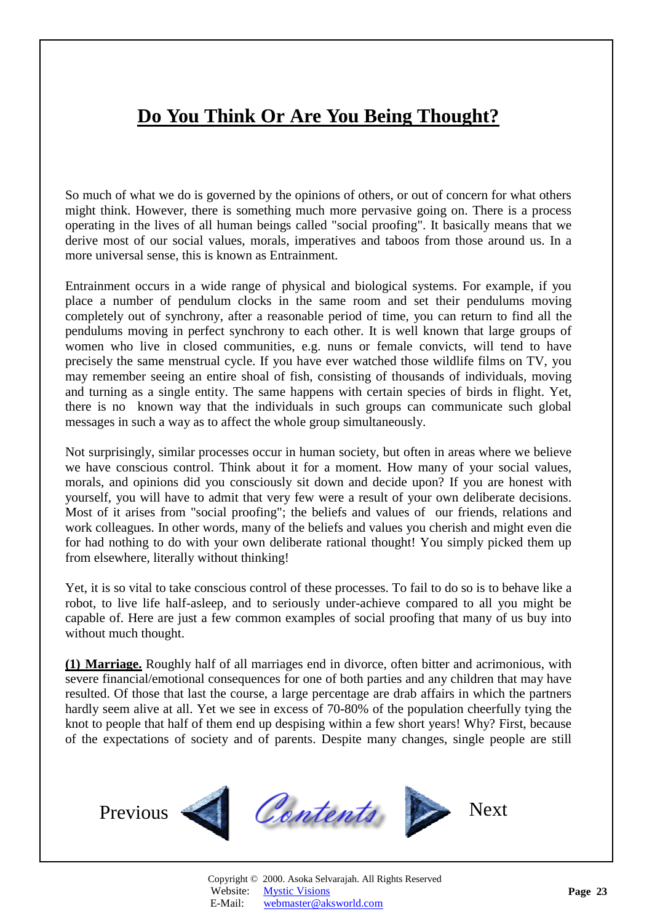# <span id="page-22-1"></span>**Do You Think Or Are You Being Thought?**

<span id="page-22-0"></span>So much of what we do is governed by the opinions of others, or out of concern for what others might think. However, there is something much more pervasive going on. There is a process operating in the lives of all human beings called "social proofing". It basically means that we derive most of our social values, morals, imperatives and taboos from those around us. In a more universal sense, this is known as Entrainment.

Entrainment occurs in a wide range of physical and biological systems. For example, if you place a number of pendulum clocks in the same room and set their pendulums moving completely out of synchrony, after a reasonable period of time, you can return to find all the pendulums moving in perfect synchrony to each other. It is well known that large groups of women who live in closed communities, e.g. nuns or female convicts, will tend to have precisely the same menstrual cycle. If you have ever watched those wildlife films on TV, you may remember seeing an entire shoal of fish, consisting of thousands of individuals, moving and turning as a single entity. The same happens with certain species of birds in flight. Yet, there is no known way that the individuals in such groups can communicate such global messages in such a way as to affect the whole group simultaneously.

Not surprisingly, similar processes occur in human society, but often in areas where we believe we have conscious control. Think about it for a moment. How many of your social values, morals, and opinions did you consciously sit down and decide upon? If you are honest with yourself, you will have to admit that very few were a result of your own deliberate decisions. Most of it arises from "social proofing"; the beliefs and values of our friends, relations and work colleagues. In other words, many of the beliefs and values you cherish and might even die for had nothing to do with your own deliberate rational thought! You simply picked them up from elsewhere, literally without thinking!

Yet, it is so vital to take conscious control of these processes. To fail to do so is to behave like a robot, to live life half-asleep, and to seriously under-achieve compared to all you might be capable of. Here are just a few common examples of social proofing that many of us buy into without much thought.

**(1) Marriage.** Roughly half of all marriages end in divorce, often bitter and acrimonious, with severe financial/emotional consequences for one of both parties and any children that may have resulted. Of those that last the course, a large percentage are drab affairs in which the partners hardly seem alive at all. Yet we see in excess of 70-80% of the population cheerfully tying the knot to people that half of them end up despising within a few short years! Why? First, because of the expectations of society and of parents. Despite many changes, single people are still

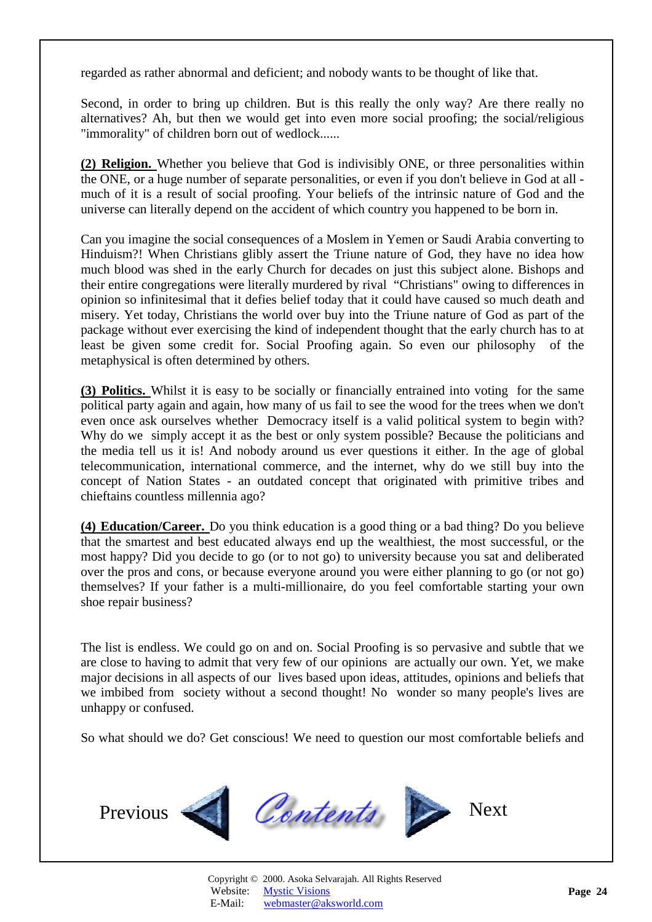regarded as rather abnormal and deficient; and nobody wants to be thought of like that.

Second, in order to bring up children. But is this really the only way? Are there really no alternatives? Ah, but then we would get into even more social proofing; the social/religious "immorality" of children born out of wedlock......

**(2) Religion.** Whether you believe that God is indivisibly ONE, or three personalities within the ONE, or a huge number of separate personalities, or even if you don't believe in God at all much of it is a result of social proofing. Your beliefs of the intrinsic nature of God and the universe can literally depend on the accident of which country you happened to be born in.

Can you imagine the social consequences of a Moslem in Yemen or Saudi Arabia converting to Hinduism?! When Christians glibly assert the Triune nature of God, they have no idea how much blood was shed in the early Church for decades on just this subject alone. Bishops and their entire congregations were literally murdered by rival "Christians" owing to differences in opinion so infinitesimal that it defies belief today that it could have caused so much death and misery. Yet today, Christians the world over buy into the Triune nature of God as part of the package without ever exercising the kind of independent thought that the early church has to at least be given some credit for. Social Proofing again. So even our philosophy of the metaphysical is often determined by others.

**(3) Politics.** Whilst it is easy to be socially or financially entrained into voting for the same political party again and again, how many of us fail to see the wood for the trees when we don't even once ask ourselves whether Democracy itself is a valid political system to begin with? Why do we simply accept it as the best or only system possible? Because the politicians and the media tell us it is! And nobody around us ever questions it either. In the age of global telecommunication, international commerce, and the internet, why do we still buy into the concept of Nation States - an outdated concept that originated with primitive tribes and chieftains countless millennia ago?

**(4) Education/Career.** Do you think education is a good thing or a bad thing? Do you believe that the smartest and best educated always end up the wealthiest, the most successful, or the most happy? Did you decide to go (or to not go) to university because you sat and deliberated over the pros and cons, or because everyone around you were either planning to go (or not go) themselves? If your father is a multi-millionaire, do you feel comfortable starting your own shoe repair business?

The list is endless. We could go on and on. Social Proofing is so pervasive and subtle that we are close to having to admit that very few of our opinions are actually our own. Yet, we make major decisions in all aspects of our lives based upon ideas, attitudes, opinions and beliefs that we imbibed from society without a second thought! No wonder so many people's lives are unhappy or confused.

So what should we do? Get conscious! We need to question our most comfortable beliefs and

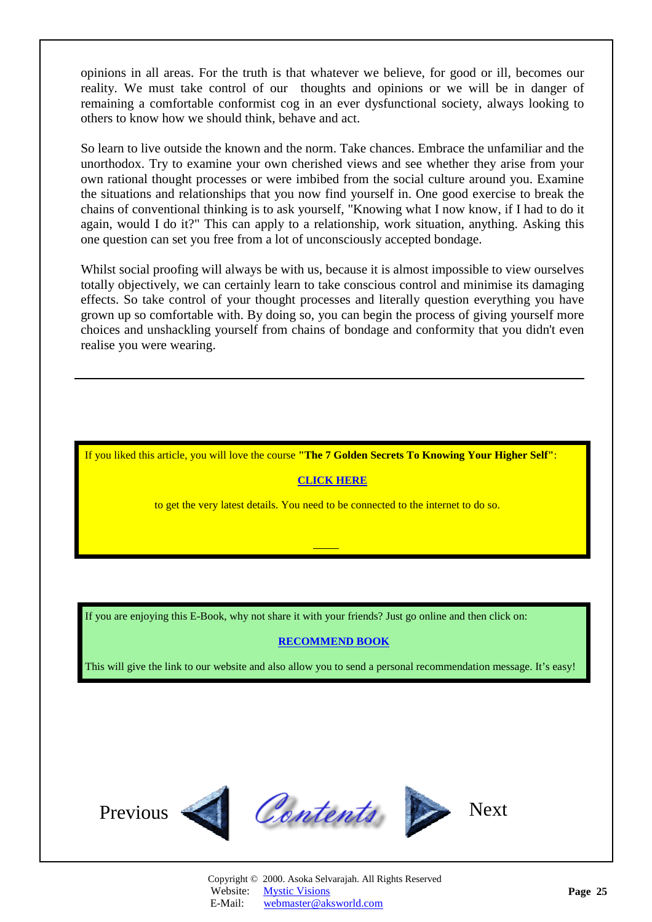<span id="page-24-0"></span>opinions in all areas. For the truth is that whatever we believe, for good or ill, becomes our reality. We must take control of our thoughts and opinions or we will be in danger of remaining a comfortable conformist cog in an ever dysfunctional society, always looking to others to know how we should think, behave and act.

So learn to live outside the known and the norm. Take chances. Embrace the unfamiliar and the unorthodox. Try to examine your own cherished views and see whether they arise from your own rational thought processes or were imbibed from the social culture around you. Examine the situations and relationships that you now find yourself in. One good exercise to break the chains of conventional thinking is to ask yourself, "Knowing what I now know, if I had to do it again, would I do it?" This can apply to a relationship, work situation, anything. Asking this one question can set you free from a lot of unconsciously accepted bondage.

Whilst social proofing will always be with us, because it is almost impossible to view ourselves totally objectively, we can certainly learn to take conscious control and minimise its damaging effects. So take control of your thought processes and literally question everything you have grown up so comfortable with. By doing so, you can begin the process of giving yourself more choices and unshackling yourself from chains of bondage and conformity that you didn't even realise you were wearing.

If you liked this article, you will love the course **"The 7 Golden Secrets To Knowing Your Higher Self"**:

#### **[CLICK HERE](http://www.aksworld.com/7GS.htm)**

to get the very latest details. You need to be connected to the internet to do so.

If you are enjoying this E-Book, why not share it with your friends? Just go online and then click on:

#### **[RECOMMEND BOOK](http://www.recommend-it.com/l.z.e?s=825799)**

This will give the link to our website and also allow you to send a personal recommendation message. It's easy!

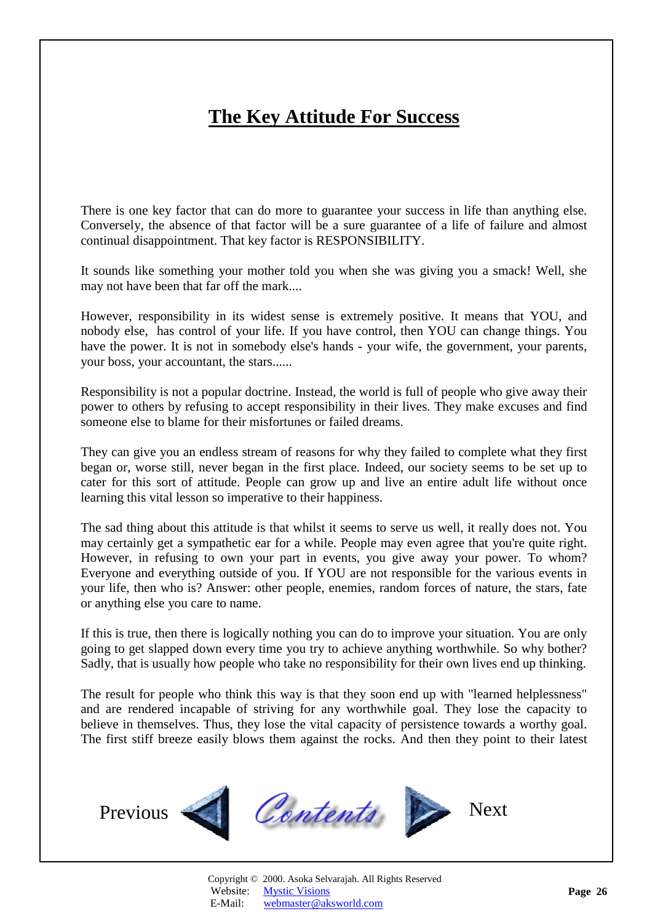# **The Key Attitude For Success**

<span id="page-25-1"></span><span id="page-25-0"></span>There is one key factor that can do more to guarantee your success in life than anything else. Conversely, the absence of that factor will be a sure guarantee of a life of failure and almost continual disappointment. That key factor is RESPONSIBILITY.

It sounds like something your mother told you when she was giving you a smack! Well, she may not have been that far off the mark....

However, responsibility in its widest sense is extremely positive. It means that YOU, and nobody else, has control of your life. If you have control, then YOU can change things. You have the power. It is not in somebody else's hands - your wife, the government, your parents, your boss, your accountant, the stars......

Responsibility is not a popular doctrine. Instead, the world is full of people who give away their power to others by refusing to accept responsibility in their lives. They make excuses and find someone else to blame for their misfortunes or failed dreams.

They can give you an endless stream of reasons for why they failed to complete what they first began or, worse still, never began in the first place. Indeed, our society seems to be set up to cater for this sort of attitude. People can grow up and live an entire adult life without once learning this vital lesson so imperative to their happiness.

The sad thing about this attitude is that whilst it seems to serve us well, it really does not. You may certainly get a sympathetic ear for a while. People may even agree that you're quite right. However, in refusing to own your part in events, you give away your power. To whom? Everyone and everything outside of you. If YOU are not responsible for the various events in your life, then who is? Answer: other people, enemies, random forces of nature, the stars, fate or anything else you care to name.

If this is true, then there is logically nothing you can do to improve your situation. You are only going to get slapped down every time you try to achieve anything worthwhile. So why bother? Sadly, that is usually how people who take no responsibility for their own lives end up thinking.

The result for people who think this way is that they soon end up with "learned helplessness" and are rendered incapable of striving for any worthwhile goal. They lose the capacity to believe in themselves. Thus, they lose the vital capacity of persistence towards a worthy goal. The first stiff breeze easily blows them against the rocks. And then they point to their latest

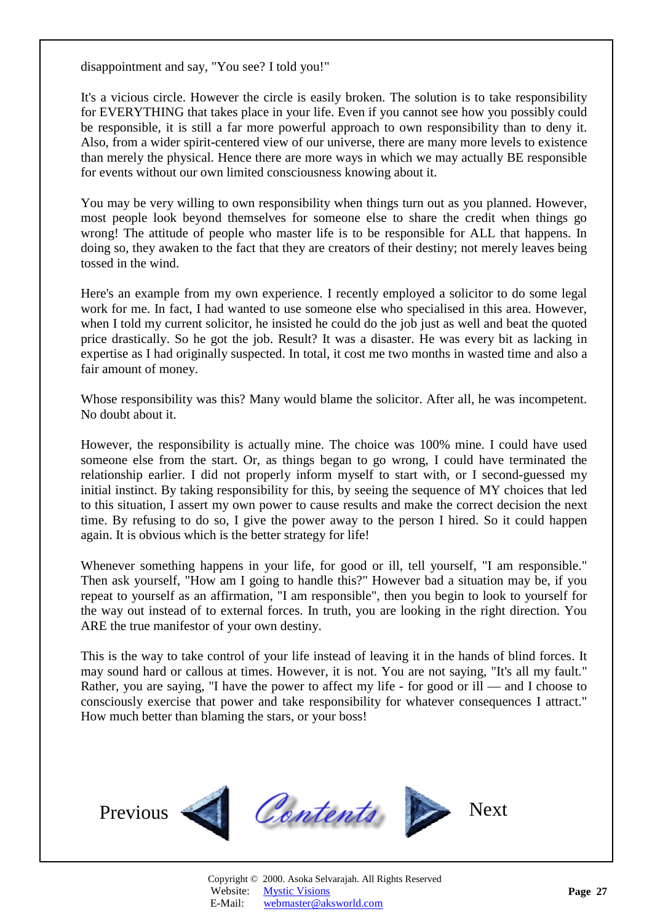<span id="page-26-0"></span>disappointment and say, "You see? I told you!"

It's a vicious circle. However the circle is easily broken. The solution is to take responsibility for EVERYTHING that takes place in your life. Even if you cannot see how you possibly could be responsible, it is still a far more powerful approach to own responsibility than to deny it. Also, from a wider spirit-centered view of our universe, there are many more levels to existence than merely the physical. Hence there are more ways in which we may actually BE responsible for events without our own limited consciousness knowing about it.

You may be very willing to own responsibility when things turn out as you planned. However, most people look beyond themselves for someone else to share the credit when things go wrong! The attitude of people who master life is to be responsible for ALL that happens. In doing so, they awaken to the fact that they are creators of their destiny; not merely leaves being tossed in the wind.

Here's an example from my own experience. I recently employed a solicitor to do some legal work for me. In fact, I had wanted to use someone else who specialised in this area. However, when I told my current solicitor, he insisted he could do the job just as well and beat the quoted price drastically. So he got the job. Result? It was a disaster. He was every bit as lacking in expertise as I had originally suspected. In total, it cost me two months in wasted time and also a fair amount of money.

Whose responsibility was this? Many would blame the solicitor. After all, he was incompetent. No doubt about it.

However, the responsibility is actually mine. The choice was 100% mine. I could have used someone else from the start. Or, as things began to go wrong, I could have terminated the relationship earlier. I did not properly inform myself to start with, or I second-guessed my initial instinct. By taking responsibility for this, by seeing the sequence of MY choices that led to this situation, I assert my own power to cause results and make the correct decision the next time. By refusing to do so, I give the power away to the person I hired. So it could happen again. It is obvious which is the better strategy for life!

Whenever something happens in your life, for good or ill, tell yourself, "I am responsible." Then ask yourself, "How am I going to handle this?" However bad a situation may be, if you repeat to yourself as an affirmation, "I am responsible", then you begin to look to yourself for the way out instead of to external forces. In truth, you are looking in the right direction. You ARE the true manifestor of your own destiny.

This is the way to take control of your life instead of leaving it in the hands of blind forces. It may sound hard or callous at times. However, it is not. You are not saying, "It's all my fault." Rather, you are saying, "I have the power to affect my life - for good or ill — and I choose to consciously exercise that power and take responsibility for whatever consequences I attract." How much better than blaming the stars, or your boss!



Copyright © 2000. Asoka Selvarajah. All Rights Reserved Website: [Mystic Visions](http://www.aksworld.com) E-Mail: [webmaster@aksworld.com](mailto:info@aksworld.com?subject=E-Book1)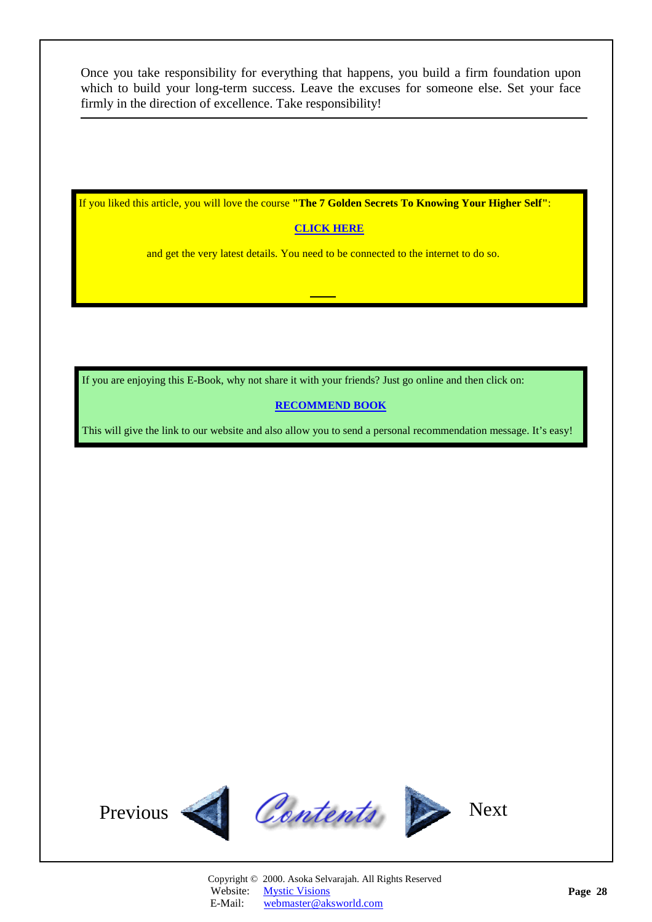<span id="page-27-0"></span>Once you take responsibility for everything that happens, you build a firm foundation upon which to build your long-term success. Leave the excuses for someone else. Set your face firmly in the direction of excellence. Take responsibility!

If you liked this article, you will love the course **"The 7 Golden Secrets To Knowing Your Higher Self"**:

### **[CLICK HERE](http://www.aksworld.com/7GS.htm)**

and get the very latest details. You need to be connected to the internet to do so.

If you are enjoying this E-Book, why not share it with your friends? Just go online and then click on:

#### **[RECOMMEND BOOK](http://www.recommend-it.com/l.z.e?s=825799)**

This will give the link to our website and also allow you to send a personal recommendation message. It's easy!

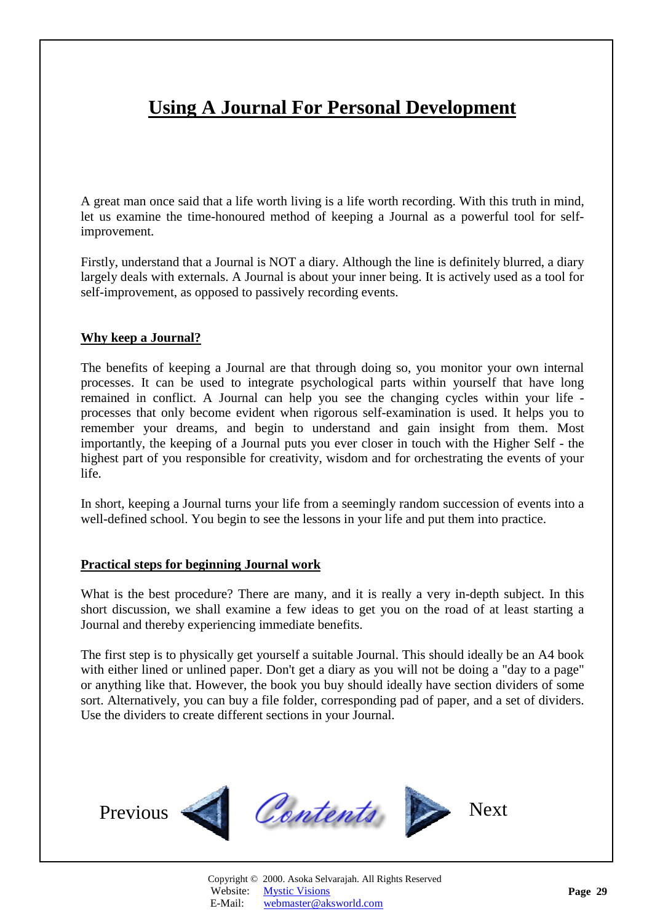# <span id="page-28-1"></span>**Using A Journal For Personal Development**

<span id="page-28-0"></span>A great man once said that a life worth living is a life worth recording. With this truth in mind, let us examine the time-honoured method of keeping a Journal as a powerful tool for selfimprovement.

Firstly, understand that a Journal is NOT a diary. Although the line is definitely blurred, a diary largely deals with externals. A Journal is about your inner being. It is actively used as a tool for self-improvement, as opposed to passively recording events.

#### **Why keep a Journal?**

The benefits of keeping a Journal are that through doing so, you monitor your own internal processes. It can be used to integrate psychological parts within yourself that have long remained in conflict. A Journal can help you see the changing cycles within your life processes that only become evident when rigorous self-examination is used. It helps you to remember your dreams, and begin to understand and gain insight from them. Most importantly, the keeping of a Journal puts you ever closer in touch with the Higher Self - the highest part of you responsible for creativity, wisdom and for orchestrating the events of your life.

In short, keeping a Journal turns your life from a seemingly random succession of events into a well-defined school. You begin to see the lessons in your life and put them into practice.

#### **Practical steps for beginning Journal work**

What is the best procedure? There are many, and it is really a very in-depth subject. In this short discussion, we shall examine a few ideas to get you on the road of at least starting a Journal and thereby experiencing immediate benefits.

The first step is to physically get yourself a suitable Journal. This should ideally be an A4 book with either lined or unlined paper. Don't get a diary as you will not be doing a "day to a page" or anything like that. However, the book you buy should ideally have section dividers of some sort. Alternatively, you can buy a file folder, corresponding pad of paper, and a set of dividers. Use the dividers to create different sections in your Journal.

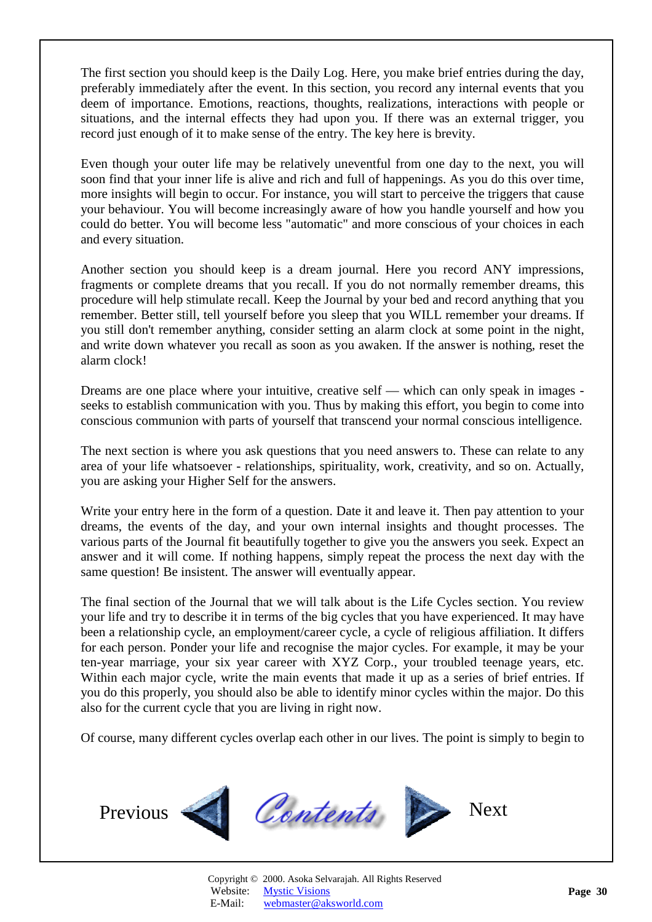<span id="page-29-0"></span>The first section you should keep is the Daily Log. Here, you make brief entries during the day, preferably immediately after the event. In this section, you record any internal events that you deem of importance. Emotions, reactions, thoughts, realizations, interactions with people or situations, and the internal effects they had upon you. If there was an external trigger, you record just enough of it to make sense of the entry. The key here is brevity.

Even though your outer life may be relatively uneventful from one day to the next, you will soon find that your inner life is alive and rich and full of happenings. As you do this over time, more insights will begin to occur. For instance, you will start to perceive the triggers that cause your behaviour. You will become increasingly aware of how you handle yourself and how you could do better. You will become less "automatic" and more conscious of your choices in each and every situation.

Another section you should keep is a dream journal. Here you record ANY impressions, fragments or complete dreams that you recall. If you do not normally remember dreams, this procedure will help stimulate recall. Keep the Journal by your bed and record anything that you remember. Better still, tell yourself before you sleep that you WILL remember your dreams. If you still don't remember anything, consider setting an alarm clock at some point in the night, and write down whatever you recall as soon as you awaken. If the answer is nothing, reset the alarm clock!

Dreams are one place where your intuitive, creative self — which can only speak in images seeks to establish communication with you. Thus by making this effort, you begin to come into conscious communion with parts of yourself that transcend your normal conscious intelligence.

The next section is where you ask questions that you need answers to. These can relate to any area of your life whatsoever - relationships, spirituality, work, creativity, and so on. Actually, you are asking your Higher Self for the answers.

Write your entry here in the form of a question. Date it and leave it. Then pay attention to your dreams, the events of the day, and your own internal insights and thought processes. The various parts of the Journal fit beautifully together to give you the answers you seek. Expect an answer and it will come. If nothing happens, simply repeat the process the next day with the same question! Be insistent. The answer will eventually appear.

The final section of the Journal that we will talk about is the Life Cycles section. You review your life and try to describe it in terms of the big cycles that you have experienced. It may have been a relationship cycle, an employment/career cycle, a cycle of religious affiliation. It differs for each person. Ponder your life and recognise the major cycles. For example, it may be your ten-year marriage, your six year career with XYZ Corp., your troubled teenage years, etc. Within each major cycle, write the main events that made it up as a series of brief entries. If you do this properly, you should also be able to identify minor cycles within the major. Do this also for the current cycle that you are living in right now.

Of course, many different cycles overlap each other in our lives. The point is simply to begin to

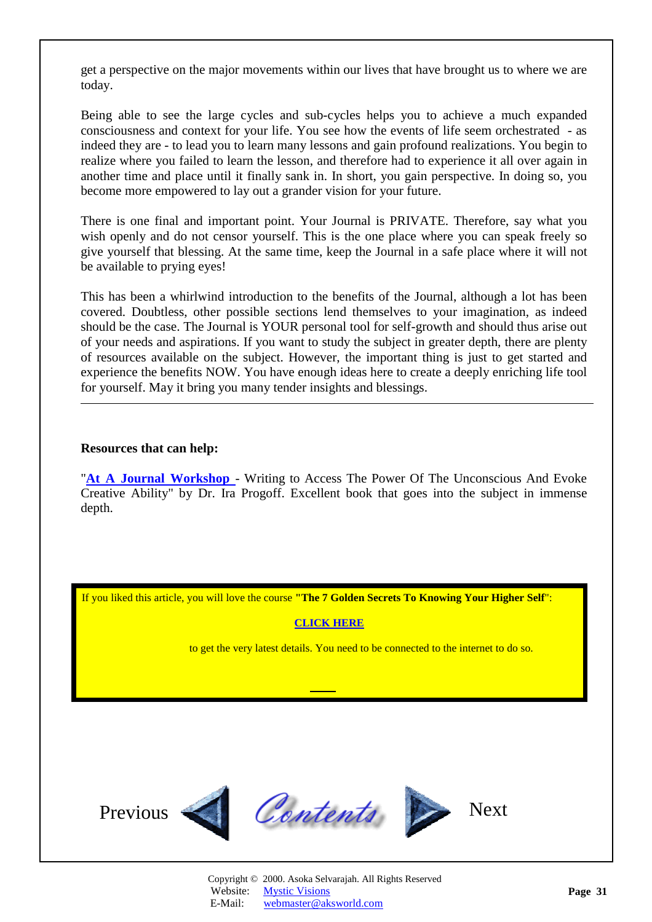<span id="page-30-0"></span>get a perspective on the major movements within our lives that have brought us to where we are today.

Being able to see the large cycles and sub-cycles helps you to achieve a much expanded consciousness and context for your life. You see how the events of life seem orchestrated - as indeed they are - to lead you to learn many lessons and gain profound realizations. You begin to realize where you failed to learn the lesson, and therefore had to experience it all over again in another time and place until it finally sank in. In short, you gain perspective. In doing so, you become more empowered to lay out a grander vision for your future.

There is one final and important point. Your Journal is PRIVATE. Therefore, say what you wish openly and do not censor yourself. This is the one place where you can speak freely so give yourself that blessing. At the same time, keep the Journal in a safe place where it will not be available to prying eyes!

This has been a whirlwind introduction to the benefits of the Journal, although a lot has been covered. Doubtless, other possible sections lend themselves to your imagination, as indeed should be the case. The Journal is YOUR personal tool for self-growth and should thus arise out of your needs and aspirations. If you want to study the subject in greater depth, there are plenty of resources available on the subject. However, the important thing is just to get started and experience the benefits NOW. You have enough ideas here to create a deeply enriching life tool for yourself. May it bring you many tender insights and blessings.

#### **Resources that can help:**

l

"**[At A Journal Workshop](http://www.amazon.com/exec/obidos/ASIN/0874776384/amazinglifestyle)** - Writing to Access The Power Of The Unconscious And Evoke Creative Ability" by Dr. Ira Progoff. Excellent book that goes into the subject in immense depth.

If you liked this article, you will love the course **"The 7 Golden Secrets To Knowing Your Higher Self**":

#### **[CLICK HERE](http://www.aksworld.com/7GS.htm)**

to get the very latest details. You need to be connected to the internet to do so.

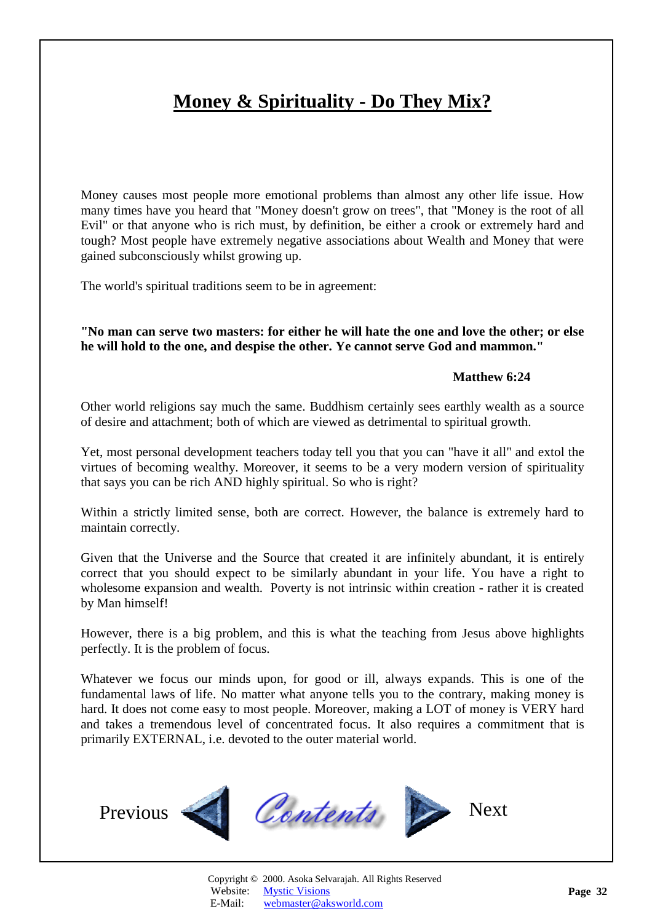# <span id="page-31-1"></span>**Money & Spirituality - Do They Mix?**

<span id="page-31-0"></span>Money causes most people more emotional problems than almost any other life issue. How many times have you heard that "Money doesn't grow on trees", that "Money is the root of all Evil" or that anyone who is rich must, by definition, be either a crook or extremely hard and tough? Most people have extremely negative associations about Wealth and Money that were gained subconsciously whilst growing up.

The world's spiritual traditions seem to be in agreement:

**"No man can serve two masters: for either he will hate the one and love the other; or else he will hold to the one, and despise the other. Ye cannot serve God and mammon."** 

#### **Matthew 6:24**

Other world religions say much the same. Buddhism certainly sees earthly wealth as a source of desire and attachment; both of which are viewed as detrimental to spiritual growth.

Yet, most personal development teachers today tell you that you can "have it all" and extol the virtues of becoming wealthy. Moreover, it seems to be a very modern version of spirituality that says you can be rich AND highly spiritual. So who is right?

Within a strictly limited sense, both are correct. However, the balance is extremely hard to maintain correctly.

Given that the Universe and the Source that created it are infinitely abundant, it is entirely correct that you should expect to be similarly abundant in your life. You have a right to wholesome expansion and wealth. Poverty is not intrinsic within creation - rather it is created by Man himself!

However, there is a big problem, and this is what the teaching from Jesus above highlights perfectly. It is the problem of focus.

Whatever we focus our minds upon, for good or ill, always expands. This is one of the fundamental laws of life. No matter what anyone tells you to the contrary, making money is hard. It does not come easy to most people. Moreover, making a LOT of money is VERY hard and takes a tremendous level of concentrated focus. It also requires a commitment that is primarily EXTERNAL, i.e. devoted to the outer material world.

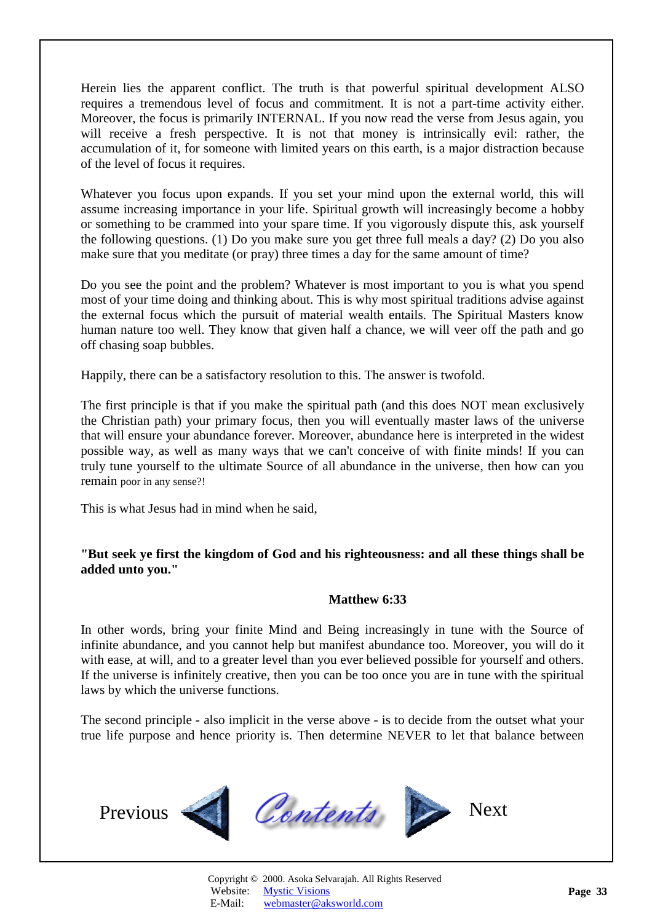<span id="page-32-0"></span>Herein lies the apparent conflict. The truth is that powerful spiritual development ALSO requires a tremendous level of focus and commitment. It is not a part-time activity either. Moreover, the focus is primarily INTERNAL. If you now read the verse from Jesus again, you will receive a fresh perspective. It is not that money is intrinsically evil: rather, the accumulation of it, for someone with limited years on this earth, is a major distraction because of the level of focus it requires.

Whatever you focus upon expands. If you set your mind upon the external world, this will assume increasing importance in your life. Spiritual growth will increasingly become a hobby or something to be crammed into your spare time. If you vigorously dispute this, ask yourself the following questions. (1) Do you make sure you get three full meals a day? (2) Do you also make sure that you meditate (or pray) three times a day for the same amount of time?

Do you see the point and the problem? Whatever is most important to you is what you spend most of your time doing and thinking about. This is why most spiritual traditions advise against the external focus which the pursuit of material wealth entails. The Spiritual Masters know human nature too well. They know that given half a chance, we will veer off the path and go off chasing soap bubbles.

Happily, there can be a satisfactory resolution to this. The answer is twofold.

The first principle is that if you make the spiritual path (and this does NOT mean exclusively the Christian path) your primary focus, then you will eventually master laws of the universe that will ensure your abundance forever. Moreover, abundance here is interpreted in the widest possible way, as well as many ways that we can't conceive of with finite minds! If you can truly tune yourself to the ultimate Source of all abundance in the universe, then how can you remain poor in any sense?!

This is what Jesus had in mind when he said,

### **"But seek ye first the kingdom of God and his righteousness: and all these things shall be added unto you."**

#### **Matthew 6:33**

In other words, bring your finite Mind and Being increasingly in tune with the Source of infinite abundance, and you cannot help but manifest abundance too. Moreover, you will do it with ease, at will, and to a greater level than you ever believed possible for yourself and others. If the universe is infinitely creative, then you can be too once you are in tune with the spiritual laws by which the universe functions.

The second principle - also implicit in the verse above - is to decide from the outset what your true life purpose and hence priority is. Then determine NEVER to let that balance between

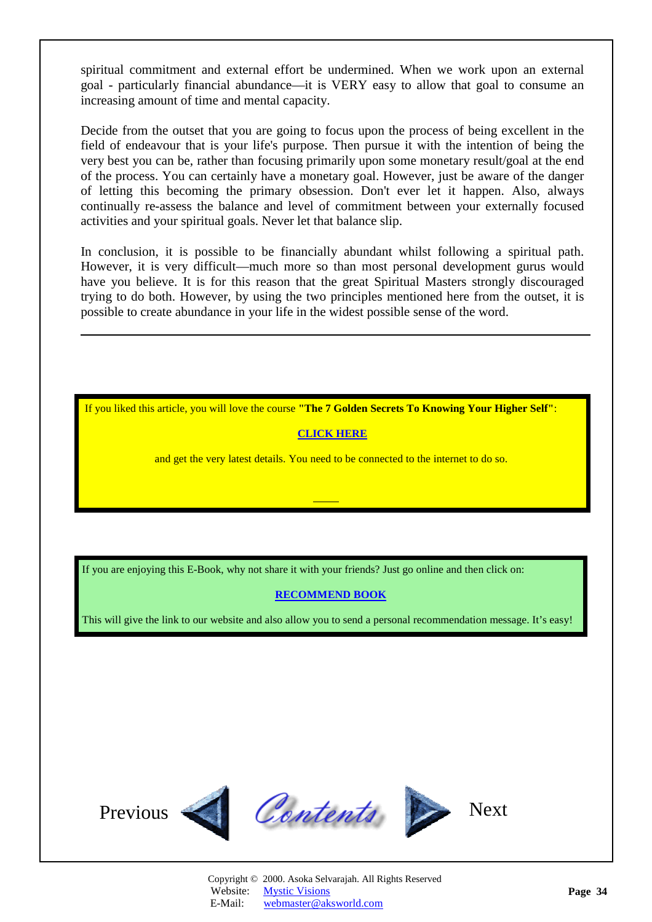<span id="page-33-0"></span>spiritual commitment and external effort be undermined. When we work upon an external goal - particularly financial abundance—it is VERY easy to allow that goal to consume an increasing amount of time and mental capacity.

Decide from the outset that you are going to focus upon the process of being excellent in the field of endeavour that is your life's purpose. Then pursue it with the intention of being the very best you can be, rather than focusing primarily upon some monetary result/goal at the end of the process. You can certainly have a monetary goal. However, just be aware of the danger of letting this becoming the primary obsession. Don't ever let it happen. Also, always continually re-assess the balance and level of commitment between your externally focused activities and your spiritual goals. Never let that balance slip.

In conclusion, it is possible to be financially abundant whilst following a spiritual path. However, it is very difficult—much more so than most personal development gurus would have you believe. It is for this reason that the great Spiritual Masters strongly discouraged trying to do both. However, by using the two principles mentioned here from the outset, it is possible to create abundance in your life in the widest possible sense of the word.

If you liked this article, you will love the course **"The 7 Golden Secrets To Knowing Your Higher Self"**:

### **[CLICK HERE](http://www.aksworld.com/7GS.htm)**

and get the very latest details. You need to be connected to the internet to do so.

If you are enjoying this E-Book, why not share it with your friends? Just go online and then click on:

#### **[RECOMMEND BOOK](http://www.recommend-it.com/l.z.e?s=825799)**

This will give the link to our website and also allow you to send a personal recommendation message. It's easy!

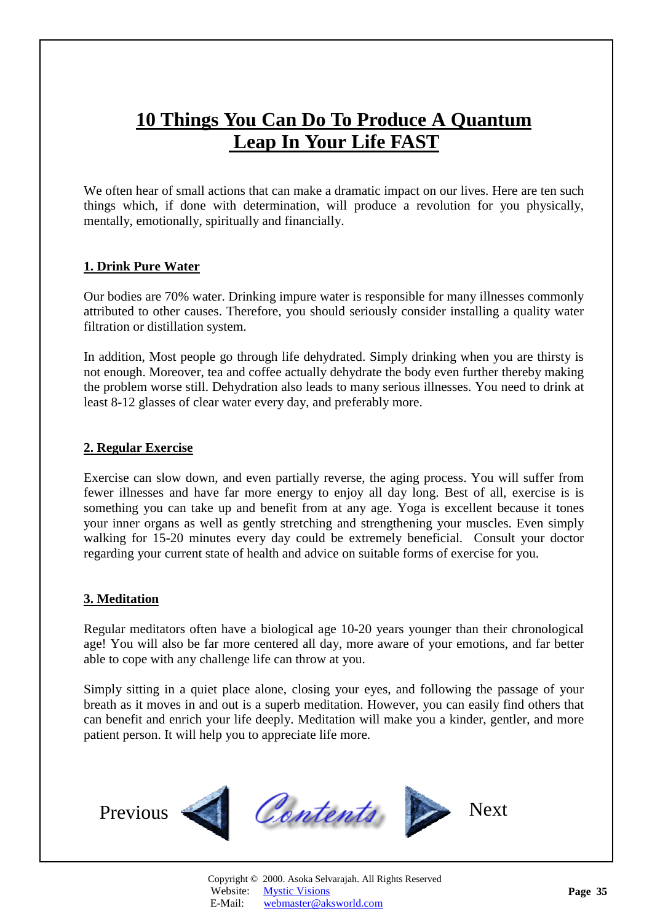# <span id="page-34-1"></span>**10 Things You Can Do To Produce A Quantum Leap In Your Life FAST**

<span id="page-34-0"></span>We often hear of small actions that can make a dramatic impact on our lives. Here are ten such things which, if done with determination, will produce a revolution for you physically, mentally, emotionally, spiritually and financially.

# **1. Drink Pure Water**

Our bodies are 70% water. Drinking impure water is responsible for many illnesses commonly attributed to other causes. Therefore, you should seriously consider installing a quality water filtration or distillation system.

In addition, Most people go through life dehydrated. Simply drinking when you are thirsty is not enough. Moreover, tea and coffee actually dehydrate the body even further thereby making the problem worse still. Dehydration also leads to many serious illnesses. You need to drink at least 8-12 glasses of clear water every day, and preferably more.

### **2. Regular Exercise**

Exercise can slow down, and even partially reverse, the aging process. You will suffer from fewer illnesses and have far more energy to enjoy all day long. Best of all, exercise is is something you can take up and benefit from at any age. Yoga is excellent because it tones your inner organs as well as gently stretching and strengthening your muscles. Even simply walking for 15-20 minutes every day could be extremely beneficial. Consult your doctor regarding your current state of health and advice on suitable forms of exercise for you.

# **3. Meditation**

Regular meditators often have a biological age 10-20 years younger than their chronological age! You will also be far more centered all day, more aware of your emotions, and far better able to cope with any challenge life can throw at you.

Simply sitting in a quiet place alone, closing your eyes, and following the passage of your breath as it moves in and out is a superb meditation. However, you can easily find others that can benefit and enrich your life deeply. Meditation will make you a kinder, gentler, and more patient person. It will help you to appreciate life more.

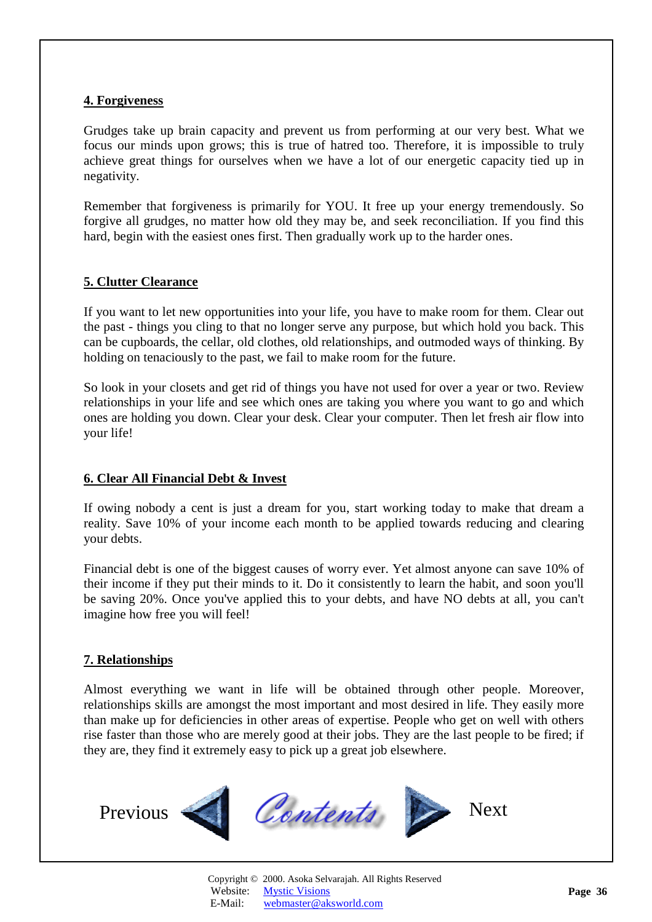### **4. Forgiveness**

Grudges take up brain capacity and prevent us from performing at our very best. What we focus our minds upon grows; this is true of hatred too. Therefore, it is impossible to truly achieve great things for ourselves when we have a lot of our energetic capacity tied up in negativity.

Remember that forgiveness is primarily for YOU. It free up your energy tremendously. So forgive all grudges, no matter how old they may be, and seek reconciliation. If you find this hard, begin with the easiest ones first. Then gradually work up to the harder ones.

# **5. Clutter Clearance**

If you want to let new opportunities into your life, you have to make room for them. Clear out the past - things you cling to that no longer serve any purpose, but which hold you back. This can be cupboards, the cellar, old clothes, old relationships, and outmoded ways of thinking. By holding on tenaciously to the past, we fail to make room for the future.

So look in your closets and get rid of things you have not used for over a year or two. Review relationships in your life and see which ones are taking you where you want to go and which ones are holding you down. Clear your desk. Clear your computer. Then let fresh air flow into your life!

# **6. Clear All Financial Debt & Invest**

If owing nobody a cent is just a dream for you, start working today to make that dream a reality. Save 10% of your income each month to be applied towards reducing and clearing your debts.

Financial debt is one of the biggest causes of worry ever. Yet almost anyone can save 10% of their income if they put their minds to it. Do it consistently to learn the habit, and soon you'll be saving 20%. Once you've applied this to your debts, and have NO debts at all, you can't imagine how free you will feel!

### **7. Relationships**

Almost everything we want in life will be obtained through other people. Moreover, relationships skills are amongst the most important and most desired in life. They easily more than make up for deficiencies in other areas of expertise. People who get on well with others rise faster than those who are merely good at their jobs. They are the last people to be fired; if they are, they find it extremely easy to pick up a great job elsewhere.

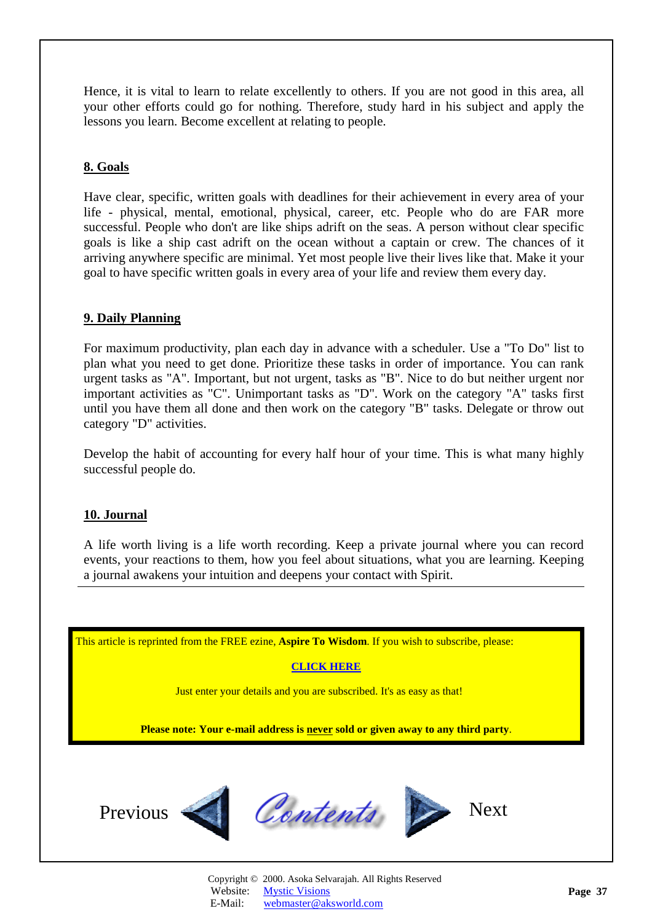<span id="page-36-0"></span>Hence, it is vital to learn to relate excellently to others. If you are not good in this area, all your other efforts could go for nothing. Therefore, study hard in his subject and apply the lessons you learn. Become excellent at relating to people.

### **8. Goals**

Have clear, specific, written goals with deadlines for their achievement in every area of your life - physical, mental, emotional, physical, career, etc. People who do are FAR more successful. People who don't are like ships adrift on the seas. A person without clear specific goals is like a ship cast adrift on the ocean without a captain or crew. The chances of it arriving anywhere specific are minimal. Yet most people live their lives like that. Make it your goal to have specific written goals in every area of your life and review them every day.

### **9. Daily Planning**

For maximum productivity, plan each day in advance with a scheduler. Use a "To Do" list to plan what you need to get done. Prioritize these tasks in order of importance. You can rank urgent tasks as "A". Important, but not urgent, tasks as "B". Nice to do but neither urgent nor important activities as "C". Unimportant tasks as "D". Work on the category "A" tasks first until you have them all done and then work on the category "B" tasks. Delegate or throw out category "D" activities.

Develop the habit of accounting for every half hour of your time. This is what many highly successful people do.

### **10. Journal**

A life worth living is a life worth recording. Keep a private journal where you can record events, your reactions to them, how you feel about situations, what you are learning. Keeping a journal awakens your intuition and deepens your contact with Spirit.

This article is reprinted from the FREE ezine, **Aspire To Wisdom**. If you wish to subscribe, please:

#### **[CLICK HERE](http://www.aksworld.com/AspireToWisdom.htm)**

Just enter your details and you are subscribed. It's as easy as that!

**Please note: Your e-mail address is never sold or given away to any third party**.